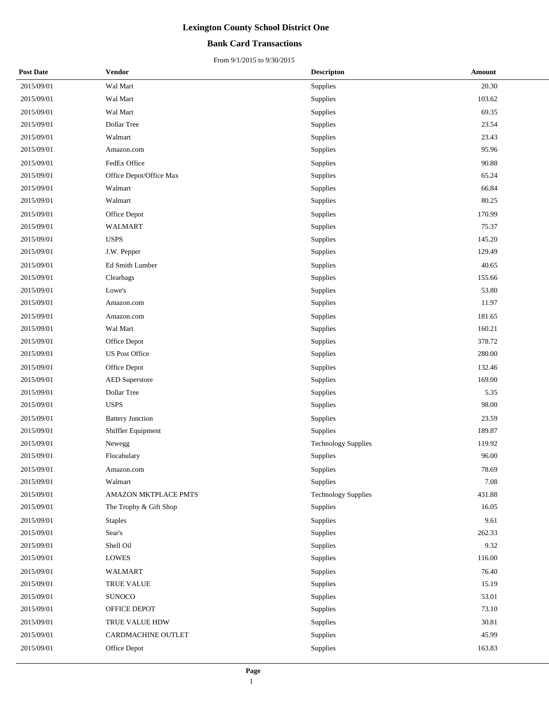### **Bank Card Transactions**

| <b>Post Date</b> | <b>Vendor</b>           | <b>Descripton</b>          | Amount |
|------------------|-------------------------|----------------------------|--------|
| 2015/09/01       | Wal Mart                | Supplies                   | 20.30  |
| 2015/09/01       | Wal Mart                | Supplies                   | 103.62 |
| 2015/09/01       | Wal Mart                | Supplies                   | 69.35  |
| 2015/09/01       | Dollar Tree             | Supplies                   | 23.54  |
| 2015/09/01       | Walmart                 | Supplies                   | 23.43  |
| 2015/09/01       | Amazon.com              | Supplies                   | 95.96  |
| 2015/09/01       | FedEx Office            | Supplies                   | 90.88  |
| 2015/09/01       | Office Depot/Office Max | Supplies                   | 65.24  |
| 2015/09/01       | Walmart                 | Supplies                   | 66.84  |
| 2015/09/01       | Walmart                 | Supplies                   | 80.25  |
| 2015/09/01       | Office Depot            | Supplies                   | 170.99 |
| 2015/09/01       | <b>WALMART</b>          | Supplies                   | 75.37  |
| 2015/09/01       | <b>USPS</b>             | Supplies                   | 145.20 |
| 2015/09/01       | J.W. Pepper             | Supplies                   | 129.49 |
| 2015/09/01       | Ed Smith Lumber         | Supplies                   | 40.65  |
| 2015/09/01       | Clearbags               | Supplies                   | 155.66 |
| 2015/09/01       | Lowe's                  | Supplies                   | 53.80  |
| 2015/09/01       | Amazon.com              | Supplies                   | 11.97  |
| 2015/09/01       | Amazon.com              | Supplies                   | 181.65 |
| 2015/09/01       | Wal Mart                | Supplies                   | 160.21 |
| 2015/09/01       | Office Depot            | Supplies                   | 378.72 |
| 2015/09/01       | <b>US Post Office</b>   | Supplies                   | 280.00 |
| 2015/09/01       | Office Depot            | Supplies                   | 132.46 |
| 2015/09/01       | <b>AED Superstore</b>   | Supplies                   | 169.00 |
| 2015/09/01       | Dollar Tree             | Supplies                   | 5.35   |
| 2015/09/01       | <b>USPS</b>             | Supplies                   | 98.00  |
| 2015/09/01       | <b>Battery Junction</b> | Supplies                   | 23.59  |
| 2015/09/01       | Shiffler Equipment      | Supplies                   | 189.87 |
| 2015/09/01       | Newegg                  | <b>Technology Supplies</b> | 119.92 |
| 2015/09/01       | Flocabulary             | Supplies                   | 96.00  |
| 2015/09/01       | Amazon.com              | Supplies                   | 78.69  |
| 2015/09/01       | Walmart                 | Supplies                   | 7.08   |
| 2015/09/01       | AMAZON MKTPLACE PMTS    | <b>Technology Supplies</b> | 431.88 |
| 2015/09/01       | The Trophy & Gift Shop  | Supplies                   | 16.05  |
| 2015/09/01       | <b>Staples</b>          | Supplies                   | 9.61   |
| 2015/09/01       | Sear's                  | Supplies                   | 262.33 |
| 2015/09/01       | Shell Oil               | Supplies                   | 9.32   |
| 2015/09/01       | <b>LOWES</b>            | Supplies                   | 116.00 |
| 2015/09/01       | <b>WALMART</b>          | Supplies                   | 76.40  |
| 2015/09/01       | <b>TRUE VALUE</b>       | Supplies                   | 15.19  |
| 2015/09/01       | <b>SUNOCO</b>           | Supplies                   | 53.01  |
| 2015/09/01       | OFFICE DEPOT            | Supplies                   | 73.10  |
| 2015/09/01       | TRUE VALUE HDW          | Supplies                   | 30.81  |
| 2015/09/01       | CARDMACHINE OUTLET      | Supplies                   | 45.99  |
| 2015/09/01       | Office Depot            | Supplies                   | 163.83 |
|                  |                         |                            |        |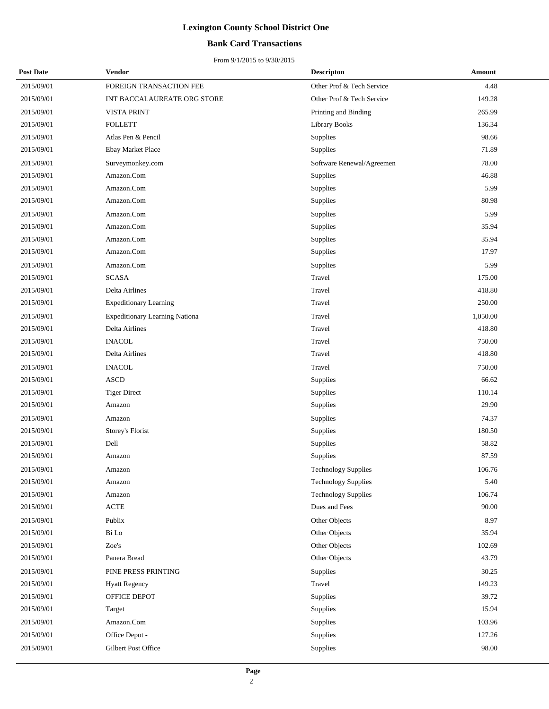### **Bank Card Transactions**

| <b>Post Date</b> | <b>Vendor</b>                         | <b>Descripton</b>          | Amount   |
|------------------|---------------------------------------|----------------------------|----------|
| 2015/09/01       | FOREIGN TRANSACTION FEE               | Other Prof & Tech Service  | 4.48     |
| 2015/09/01       | INT BACCALAUREATE ORG STORE           | Other Prof & Tech Service  | 149.28   |
| 2015/09/01       | <b>VISTA PRINT</b>                    | Printing and Binding       | 265.99   |
| 2015/09/01       | <b>FOLLETT</b>                        | <b>Library Books</b>       | 136.34   |
| 2015/09/01       | Atlas Pen & Pencil                    | Supplies                   | 98.66    |
| 2015/09/01       | Ebay Market Place                     | Supplies                   | 71.89    |
| 2015/09/01       | Surveymonkey.com                      | Software Renewal/Agreemen  | 78.00    |
| 2015/09/01       | Amazon.Com                            | Supplies                   | 46.88    |
| 2015/09/01       | Amazon.Com                            | Supplies                   | 5.99     |
| 2015/09/01       | Amazon.Com                            | Supplies                   | 80.98    |
| 2015/09/01       | Amazon.Com                            | Supplies                   | 5.99     |
| 2015/09/01       | Amazon.Com                            | Supplies                   | 35.94    |
| 2015/09/01       | Amazon.Com                            | Supplies                   | 35.94    |
| 2015/09/01       | Amazon.Com                            | Supplies                   | 17.97    |
| 2015/09/01       | Amazon.Com                            | Supplies                   | 5.99     |
| 2015/09/01       | <b>SCASA</b>                          | Travel                     | 175.00   |
| 2015/09/01       | Delta Airlines                        | Travel                     | 418.80   |
| 2015/09/01       | <b>Expeditionary Learning</b>         | Travel                     | 250.00   |
| 2015/09/01       | <b>Expeditionary Learning Nationa</b> | Travel                     | 1,050.00 |
| 2015/09/01       | Delta Airlines                        | Travel                     | 418.80   |
| 2015/09/01       | <b>INACOL</b>                         | Travel                     | 750.00   |
| 2015/09/01       | Delta Airlines                        | Travel                     | 418.80   |
| 2015/09/01       | <b>INACOL</b>                         | Travel                     | 750.00   |
| 2015/09/01       | <b>ASCD</b>                           | Supplies                   | 66.62    |
| 2015/09/01       | <b>Tiger Direct</b>                   | Supplies                   | 110.14   |
| 2015/09/01       | Amazon                                | Supplies                   | 29.90    |
| 2015/09/01       | Amazon                                | Supplies                   | 74.37    |
| 2015/09/01       | Storey's Florist                      | Supplies                   | 180.50   |
| 2015/09/01       | Dell                                  | Supplies                   | 58.82    |
| 2015/09/01       | Amazon                                | Supplies                   | 87.59    |
| 2015/09/01       | Amazon                                | Technology Supplies        | 106.76   |
| 2015/09/01       | Amazon                                | <b>Technology Supplies</b> | 5.40     |
| 2015/09/01       | Amazon                                | <b>Technology Supplies</b> | 106.74   |
| 2015/09/01       | $\operatorname{ACTE}$                 | Dues and Fees              | 90.00    |
| 2015/09/01       | Publix                                | Other Objects              | 8.97     |
| 2015/09/01       | Bi Lo                                 | Other Objects              | 35.94    |
| 2015/09/01       | Zoe's                                 | Other Objects              | 102.69   |
| 2015/09/01       | Panera Bread                          | Other Objects              | 43.79    |
| 2015/09/01       | PINE PRESS PRINTING                   | Supplies                   | 30.25    |
| 2015/09/01       | <b>Hyatt Regency</b>                  | Travel                     | 149.23   |
| 2015/09/01       | OFFICE DEPOT                          | Supplies                   | 39.72    |
| 2015/09/01       | Target                                | Supplies                   | 15.94    |
| 2015/09/01       | Amazon.Com                            | Supplies                   | 103.96   |
| 2015/09/01       | Office Depot -                        | Supplies                   | 127.26   |
| 2015/09/01       | Gilbert Post Office                   | Supplies                   | 98.00    |
|                  |                                       |                            |          |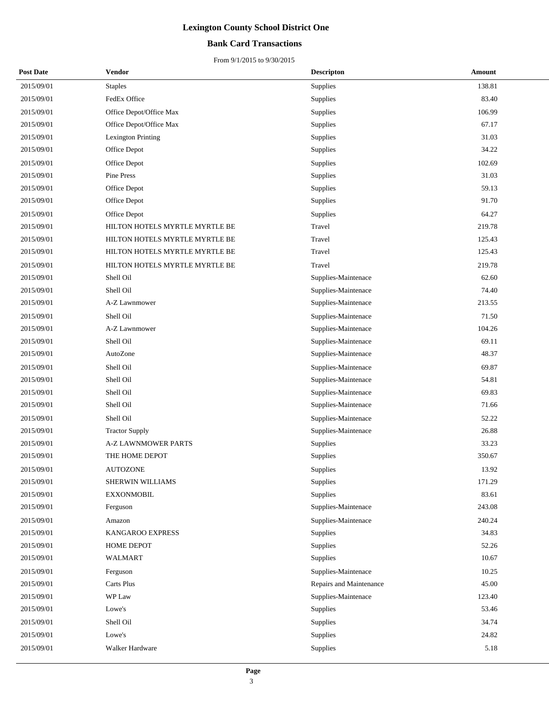### **Bank Card Transactions**

| <b>Post Date</b> | <b>Vendor</b>                  | <b>Descripton</b>       | Amount |
|------------------|--------------------------------|-------------------------|--------|
| 2015/09/01       | <b>Staples</b>                 | Supplies                | 138.81 |
| 2015/09/01       | FedEx Office                   | Supplies                | 83.40  |
| 2015/09/01       | Office Depot/Office Max        | Supplies                | 106.99 |
| 2015/09/01       | Office Depot/Office Max        | Supplies                | 67.17  |
| 2015/09/01       | Lexington Printing             | Supplies                | 31.03  |
| 2015/09/01       | Office Depot                   | Supplies                | 34.22  |
| 2015/09/01       | Office Depot                   | Supplies                | 102.69 |
| 2015/09/01       | Pine Press                     | Supplies                | 31.03  |
| 2015/09/01       | Office Depot                   | Supplies                | 59.13  |
| 2015/09/01       | Office Depot                   | Supplies                | 91.70  |
| 2015/09/01       | Office Depot                   | Supplies                | 64.27  |
| 2015/09/01       | HILTON HOTELS MYRTLE MYRTLE BE | Travel                  | 219.78 |
| 2015/09/01       | HILTON HOTELS MYRTLE MYRTLE BE | Travel                  | 125.43 |
| 2015/09/01       | HILTON HOTELS MYRTLE MYRTLE BE | Travel                  | 125.43 |
| 2015/09/01       | HILTON HOTELS MYRTLE MYRTLE BE | Travel                  | 219.78 |
| 2015/09/01       | Shell Oil                      | Supplies-Maintenace     | 62.60  |
| 2015/09/01       | Shell Oil                      | Supplies-Maintenace     | 74.40  |
| 2015/09/01       | A-Z Lawnmower                  | Supplies-Maintenace     | 213.55 |
| 2015/09/01       | Shell Oil                      | Supplies-Maintenace     | 71.50  |
| 2015/09/01       | A-Z Lawnmower                  | Supplies-Maintenace     | 104.26 |
| 2015/09/01       | Shell Oil                      | Supplies-Maintenace     | 69.11  |
| 2015/09/01       | AutoZone                       | Supplies-Maintenace     | 48.37  |
| 2015/09/01       | Shell Oil                      | Supplies-Maintenace     | 69.87  |
| 2015/09/01       | Shell Oil                      | Supplies-Maintenace     | 54.81  |
| 2015/09/01       | Shell Oil                      | Supplies-Maintenace     | 69.83  |
| 2015/09/01       | Shell Oil                      | Supplies-Maintenace     | 71.66  |
| 2015/09/01       | Shell Oil                      | Supplies-Maintenace     | 52.22  |
| 2015/09/01       | <b>Tractor Supply</b>          | Supplies-Maintenace     | 26.88  |
| 2015/09/01       | A-Z LAWNMOWER PARTS            | Supplies                | 33.23  |
| 2015/09/01       | THE HOME DEPOT                 | Supplies                | 350.67 |
| 2015/09/01       | <b>AUTOZONE</b>                | Supplies                | 13.92  |
| 2015/09/01       | SHERWIN WILLIAMS               | Supplies                | 171.29 |
| 2015/09/01       | EXXONMOBIL                     | Supplies                | 83.61  |
| 2015/09/01       | Ferguson                       | Supplies-Maintenace     | 243.08 |
| 2015/09/01       | Amazon                         | Supplies-Maintenace     | 240.24 |
| 2015/09/01       | KANGAROO EXPRESS               | Supplies                | 34.83  |
| 2015/09/01       | HOME DEPOT                     | Supplies                | 52.26  |
| 2015/09/01       | WALMART                        | Supplies                | 10.67  |
| 2015/09/01       | Ferguson                       | Supplies-Maintenace     | 10.25  |
| 2015/09/01       | Carts Plus                     | Repairs and Maintenance | 45.00  |
| 2015/09/01       | WP Law                         | Supplies-Maintenace     | 123.40 |
| 2015/09/01       | Lowe's                         | Supplies                | 53.46  |
| 2015/09/01       | Shell Oil                      | Supplies                | 34.74  |
| 2015/09/01       | Lowe's                         | Supplies                | 24.82  |
| 2015/09/01       | Walker Hardware                | Supplies                | 5.18   |
|                  |                                |                         |        |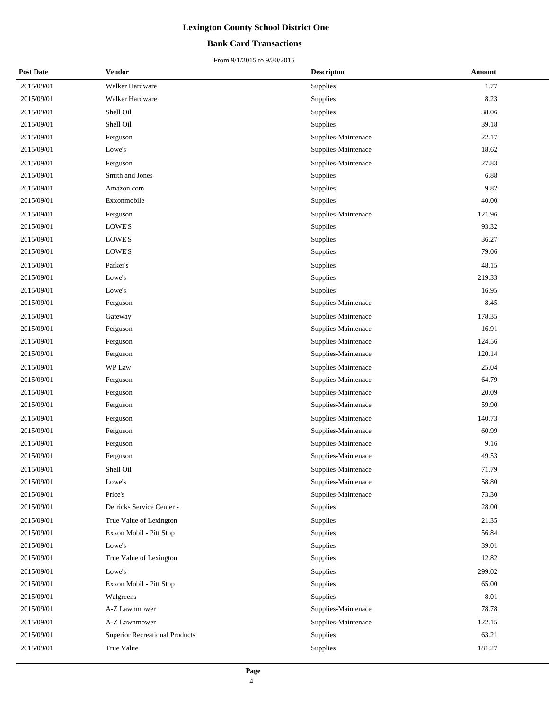### **Bank Card Transactions**

| <b>Post Date</b> | Vendor                                | <b>Descripton</b>   | Amount |
|------------------|---------------------------------------|---------------------|--------|
| 2015/09/01       | Walker Hardware                       | Supplies            | 1.77   |
| 2015/09/01       | Walker Hardware                       | Supplies            | 8.23   |
| 2015/09/01       | Shell Oil                             | Supplies            | 38.06  |
| 2015/09/01       | Shell Oil                             | Supplies            | 39.18  |
| 2015/09/01       | Ferguson                              | Supplies-Maintenace | 22.17  |
| 2015/09/01       | Lowe's                                | Supplies-Maintenace | 18.62  |
| 2015/09/01       | Ferguson                              | Supplies-Maintenace | 27.83  |
| 2015/09/01       | Smith and Jones                       | Supplies            | 6.88   |
| 2015/09/01       | Amazon.com                            | Supplies            | 9.82   |
| 2015/09/01       | Exxonmobile                           | Supplies            | 40.00  |
| 2015/09/01       | Ferguson                              | Supplies-Maintenace | 121.96 |
| 2015/09/01       | LOWE'S                                | Supplies            | 93.32  |
| 2015/09/01       | LOWE'S                                | Supplies            | 36.27  |
| 2015/09/01       | LOWE'S                                | Supplies            | 79.06  |
| 2015/09/01       | Parker's                              | Supplies            | 48.15  |
| 2015/09/01       | Lowe's                                | Supplies            | 219.33 |
| 2015/09/01       | Lowe's                                | Supplies            | 16.95  |
| 2015/09/01       | Ferguson                              | Supplies-Maintenace | 8.45   |
| 2015/09/01       | Gateway                               | Supplies-Maintenace | 178.35 |
| 2015/09/01       | Ferguson                              | Supplies-Maintenace | 16.91  |
| 2015/09/01       | Ferguson                              | Supplies-Maintenace | 124.56 |
| 2015/09/01       | Ferguson                              | Supplies-Maintenace | 120.14 |
| 2015/09/01       | WP Law                                | Supplies-Maintenace | 25.04  |
| 2015/09/01       | Ferguson                              | Supplies-Maintenace | 64.79  |
| 2015/09/01       | Ferguson                              | Supplies-Maintenace | 20.09  |
| 2015/09/01       | Ferguson                              | Supplies-Maintenace | 59.90  |
| 2015/09/01       | Ferguson                              | Supplies-Maintenace | 140.73 |
| 2015/09/01       | Ferguson                              | Supplies-Maintenace | 60.99  |
| 2015/09/01       | Ferguson                              | Supplies-Maintenace | 9.16   |
| 2015/09/01       | Ferguson                              | Supplies-Maintenace | 49.53  |
| 2015/09/01       | Shell Oil                             | Supplies-Maintenace | 71.79  |
| 2015/09/01       | Lowe's                                | Supplies-Maintenace | 58.80  |
| 2015/09/01       | Price's                               | Supplies-Maintenace | 73.30  |
| 2015/09/01       | Derricks Service Center -             | Supplies            | 28.00  |
| 2015/09/01       | True Value of Lexington               | Supplies            | 21.35  |
| 2015/09/01       | Exxon Mobil - Pitt Stop               | Supplies            | 56.84  |
| 2015/09/01       | Lowe's                                | Supplies            | 39.01  |
| 2015/09/01       | True Value of Lexington               | Supplies            | 12.82  |
| 2015/09/01       | Lowe's                                | Supplies            | 299.02 |
| 2015/09/01       | Exxon Mobil - Pitt Stop               | Supplies            | 65.00  |
| 2015/09/01       | Walgreens                             | Supplies            | 8.01   |
| 2015/09/01       | A-Z Lawnmower                         | Supplies-Maintenace | 78.78  |
| 2015/09/01       | A-Z Lawnmower                         | Supplies-Maintenace | 122.15 |
| 2015/09/01       | <b>Superior Recreational Products</b> | Supplies            | 63.21  |
| 2015/09/01       | True Value                            | Supplies            | 181.27 |
|                  |                                       |                     |        |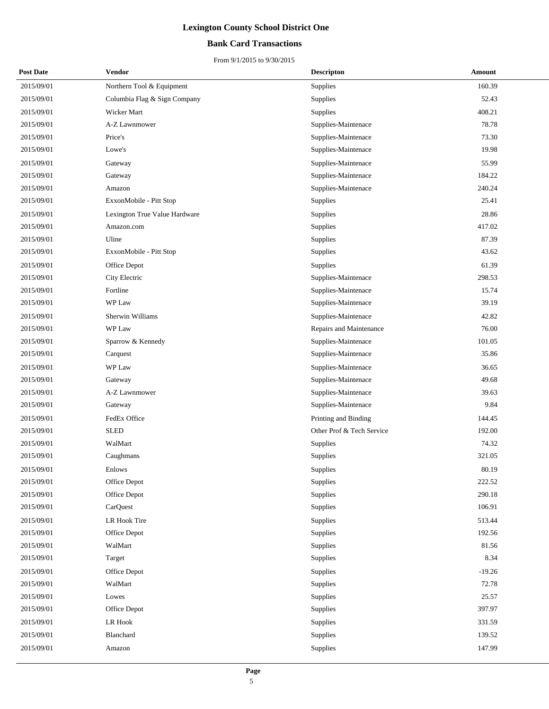### **Bank Card Transactions**

| <b>Post Date</b> | <b>Vendor</b>                 | <b>Descripton</b>         | Amount   |
|------------------|-------------------------------|---------------------------|----------|
| 2015/09/01       | Northern Tool & Equipment     | Supplies                  | 160.39   |
| 2015/09/01       | Columbia Flag & Sign Company  | Supplies                  | 52.43    |
| 2015/09/01       | Wicker Mart                   | Supplies                  | 408.21   |
| 2015/09/01       | A-Z Lawnmower                 | Supplies-Maintenace       | 78.78    |
| 2015/09/01       | Price's                       | Supplies-Maintenace       | 73.30    |
| 2015/09/01       | Lowe's                        | Supplies-Maintenace       | 19.98    |
| 2015/09/01       | Gateway                       | Supplies-Maintenace       | 55.99    |
| 2015/09/01       | Gateway                       | Supplies-Maintenace       | 184.22   |
| 2015/09/01       | Amazon                        | Supplies-Maintenace       | 240.24   |
| 2015/09/01       | ExxonMobile - Pitt Stop       | Supplies                  | 25.41    |
| 2015/09/01       | Lexington True Value Hardware | Supplies                  | 28.86    |
| 2015/09/01       | Amazon.com                    | Supplies                  | 417.02   |
| 2015/09/01       | Uline                         | Supplies                  | 87.39    |
| 2015/09/01       | ExxonMobile - Pitt Stop       | Supplies                  | 43.62    |
| 2015/09/01       | Office Depot                  | Supplies                  | 61.39    |
| 2015/09/01       | City Electric                 | Supplies-Maintenace       | 298.53   |
| 2015/09/01       | Fortline                      | Supplies-Maintenace       | 15.74    |
| 2015/09/01       | WP Law                        | Supplies-Maintenace       | 39.19    |
| 2015/09/01       | Sherwin Williams              | Supplies-Maintenace       | 42.82    |
| 2015/09/01       | WP Law                        | Repairs and Maintenance   | 76.00    |
| 2015/09/01       | Sparrow & Kennedy             | Supplies-Maintenace       | 101.05   |
| 2015/09/01       | Carquest                      | Supplies-Maintenace       | 35.86    |
| 2015/09/01       | WP Law                        | Supplies-Maintenace       | 36.65    |
| 2015/09/01       | Gateway                       | Supplies-Maintenace       | 49.68    |
| 2015/09/01       | A-Z Lawnmower                 | Supplies-Maintenace       | 39.63    |
| 2015/09/01       | Gateway                       | Supplies-Maintenace       | 9.84     |
| 2015/09/01       | FedEx Office                  | Printing and Binding      | 144.45   |
| 2015/09/01       | <b>SLED</b>                   | Other Prof & Tech Service | 192.00   |
| 2015/09/01       | WalMart                       | Supplies                  | 74.32    |
| 2015/09/01       | Caughmans                     | Supplies                  | 321.05   |
| 2015/09/01       | Enlows                        | Supplies                  | 80.19    |
| 2015/09/01       | Office Depot                  | Supplies                  | 222.52   |
| 2015/09/01       | Office Depot                  | Supplies                  | 290.18   |
| 2015/09/01       | CarQuest                      | Supplies                  | 106.91   |
| 2015/09/01       | LR Hook Tire                  | Supplies                  | 513.44   |
| 2015/09/01       | Office Depot                  | Supplies                  | 192.56   |
| 2015/09/01       | WalMart                       | Supplies                  | 81.56    |
| 2015/09/01       | Target                        | Supplies                  | 8.34     |
| 2015/09/01       | Office Depot                  | Supplies                  | $-19.26$ |
| 2015/09/01       | WalMart                       | Supplies                  | 72.78    |
| 2015/09/01       | Lowes                         | Supplies                  | 25.57    |
| 2015/09/01       | Office Depot                  | Supplies                  | 397.97   |
| 2015/09/01       | LR Hook                       | Supplies                  | 331.59   |
| 2015/09/01       | Blanchard                     | Supplies                  | 139.52   |
| 2015/09/01       | Amazon                        | Supplies                  | 147.99   |
|                  |                               |                           |          |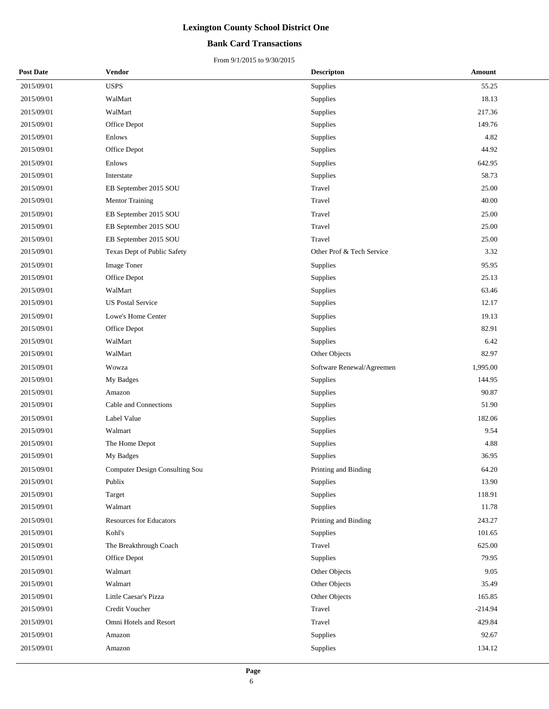### **Bank Card Transactions**

| <b>Post Date</b> | <b>Vendor</b>                  | <b>Descripton</b>         | Amount    |
|------------------|--------------------------------|---------------------------|-----------|
| 2015/09/01       | <b>USPS</b>                    | Supplies                  | 55.25     |
| 2015/09/01       | WalMart                        | Supplies                  | 18.13     |
| 2015/09/01       | WalMart                        | Supplies                  | 217.36    |
| 2015/09/01       | Office Depot                   | Supplies                  | 149.76    |
| 2015/09/01       | Enlows                         | Supplies                  | 4.82      |
| 2015/09/01       | Office Depot                   | Supplies                  | 44.92     |
| 2015/09/01       | Enlows                         | Supplies                  | 642.95    |
| 2015/09/01       | Interstate                     | Supplies                  | 58.73     |
| 2015/09/01       | EB September 2015 SOU          | Travel                    | 25.00     |
| 2015/09/01       | <b>Mentor Training</b>         | Travel                    | 40.00     |
| 2015/09/01       | EB September 2015 SOU          | Travel                    | 25.00     |
| 2015/09/01       | EB September 2015 SOU          | Travel                    | 25.00     |
| 2015/09/01       | EB September 2015 SOU          | Travel                    | 25.00     |
| 2015/09/01       | Texas Dept of Public Safety    | Other Prof & Tech Service | 3.32      |
| 2015/09/01       | <b>Image Toner</b>             | Supplies                  | 95.95     |
| 2015/09/01       | Office Depot                   | Supplies                  | 25.13     |
| 2015/09/01       | WalMart                        | Supplies                  | 63.46     |
| 2015/09/01       | <b>US Postal Service</b>       | Supplies                  | 12.17     |
| 2015/09/01       | Lowe's Home Center             | Supplies                  | 19.13     |
| 2015/09/01       | Office Depot                   | Supplies                  | 82.91     |
| 2015/09/01       | WalMart                        | Supplies                  | 6.42      |
| 2015/09/01       | WalMart                        | Other Objects             | 82.97     |
| 2015/09/01       | Wowza                          | Software Renewal/Agreemen | 1,995.00  |
| 2015/09/01       | My Badges                      | Supplies                  | 144.95    |
| 2015/09/01       | Amazon                         | Supplies                  | 90.87     |
| 2015/09/01       | Cable and Connections          | Supplies                  | 51.90     |
| 2015/09/01       | Label Value                    | Supplies                  | 182.06    |
| 2015/09/01       | Walmart                        | Supplies                  | 9.54      |
| 2015/09/01       | The Home Depot                 | Supplies                  | 4.88      |
| 2015/09/01       | My Badges                      | Supplies                  | 36.95     |
| 2015/09/01       | Computer Design Consulting Sou | Printing and Binding      | 64.20     |
| 2015/09/01       | Publix                         | Supplies                  | 13.90     |
| 2015/09/01       | Target                         | Supplies                  | 118.91    |
| 2015/09/01       | Walmart                        | Supplies                  | 11.78     |
| 2015/09/01       | <b>Resources for Educators</b> | Printing and Binding      | 243.27    |
| 2015/09/01       | Kohl's                         | Supplies                  | 101.65    |
| 2015/09/01       | The Breakthrough Coach         | Travel                    | 625.00    |
| 2015/09/01       | Office Depot                   | Supplies                  | 79.95     |
| 2015/09/01       | Walmart                        | Other Objects             | 9.05      |
| 2015/09/01       | Walmart                        | Other Objects             | 35.49     |
| 2015/09/01       | Little Caesar's Pizza          | Other Objects             | 165.85    |
| 2015/09/01       | Credit Voucher                 | Travel                    | $-214.94$ |
| 2015/09/01       | Omni Hotels and Resort         | Travel                    | 429.84    |
| 2015/09/01       | Amazon                         | Supplies                  | 92.67     |
| 2015/09/01       | Amazon                         | Supplies                  | 134.12    |
|                  |                                |                           |           |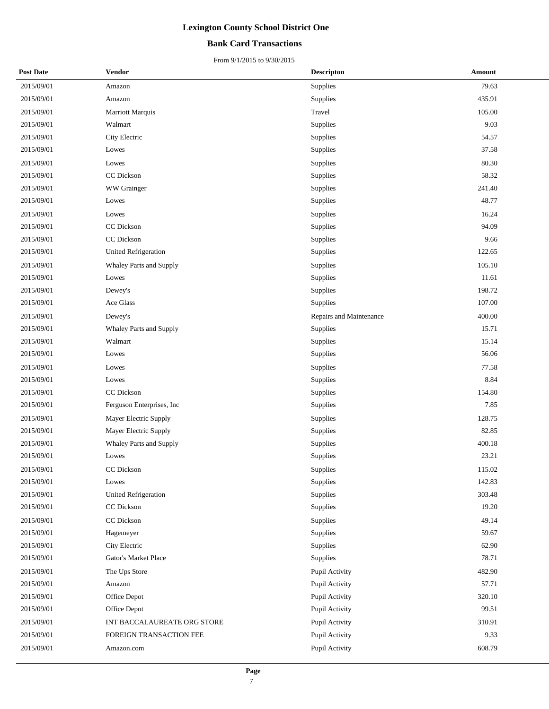### **Bank Card Transactions**

| <b>Post Date</b> | Vendor                      | <b>Descripton</b>       | Amount |
|------------------|-----------------------------|-------------------------|--------|
| 2015/09/01       | Amazon                      | Supplies                | 79.63  |
| 2015/09/01       | Amazon                      | Supplies                | 435.91 |
| 2015/09/01       | Marriott Marquis            | Travel                  | 105.00 |
| 2015/09/01       | Walmart                     | Supplies                | 9.03   |
| 2015/09/01       | City Electric               | Supplies                | 54.57  |
| 2015/09/01       | Lowes                       | Supplies                | 37.58  |
| 2015/09/01       | Lowes                       | Supplies                | 80.30  |
| 2015/09/01       | CC Dickson                  | Supplies                | 58.32  |
| 2015/09/01       | WW Grainger                 | Supplies                | 241.40 |
| 2015/09/01       | Lowes                       | Supplies                | 48.77  |
| 2015/09/01       | Lowes                       | Supplies                | 16.24  |
| 2015/09/01       | CC Dickson                  | Supplies                | 94.09  |
| 2015/09/01       | CC Dickson                  | Supplies                | 9.66   |
| 2015/09/01       | <b>United Refrigeration</b> | Supplies                | 122.65 |
| 2015/09/01       | Whaley Parts and Supply     | Supplies                | 105.10 |
| 2015/09/01       | Lowes                       | Supplies                | 11.61  |
| 2015/09/01       | Dewey's                     | Supplies                | 198.72 |
| 2015/09/01       | Ace Glass                   | Supplies                | 107.00 |
| 2015/09/01       | Dewey's                     | Repairs and Maintenance | 400.00 |
| 2015/09/01       | Whaley Parts and Supply     | Supplies                | 15.71  |
| 2015/09/01       | Walmart                     | Supplies                | 15.14  |
| 2015/09/01       | Lowes                       | Supplies                | 56.06  |
| 2015/09/01       | Lowes                       | Supplies                | 77.58  |
| 2015/09/01       | Lowes                       | Supplies                | 8.84   |
| 2015/09/01       | CC Dickson                  | Supplies                | 154.80 |
| 2015/09/01       | Ferguson Enterprises, Inc   | Supplies                | 7.85   |
| 2015/09/01       | Mayer Electric Supply       | Supplies                | 128.75 |
| 2015/09/01       | Mayer Electric Supply       | Supplies                | 82.85  |
| 2015/09/01       | Whaley Parts and Supply     | Supplies                | 400.18 |
| 2015/09/01       | Lowes                       | Supplies                | 23.21  |
| 2015/09/01       | <b>CC</b> Dickson           | Supplies                | 115.02 |
| 2015/09/01       | Lowes                       | Supplies                | 142.83 |
| 2015/09/01       | <b>United Refrigeration</b> | Supplies                | 303.48 |
| 2015/09/01       | CC Dickson                  | Supplies                | 19.20  |
| 2015/09/01       | CC Dickson                  | Supplies                | 49.14  |
| 2015/09/01       | Hagemeyer                   | Supplies                | 59.67  |
| 2015/09/01       | City Electric               | Supplies                | 62.90  |
| 2015/09/01       | Gator's Market Place        | Supplies                | 78.71  |
| 2015/09/01       | The Ups Store               | Pupil Activity          | 482.90 |
| 2015/09/01       | Amazon                      | Pupil Activity          | 57.71  |
| 2015/09/01       | Office Depot                | Pupil Activity          | 320.10 |
| 2015/09/01       | Office Depot                | Pupil Activity          | 99.51  |
| 2015/09/01       | INT BACCALAUREATE ORG STORE | Pupil Activity          | 310.91 |
| 2015/09/01       | FOREIGN TRANSACTION FEE     | Pupil Activity          | 9.33   |
| 2015/09/01       | Amazon.com                  | Pupil Activity          | 608.79 |
|                  |                             |                         |        |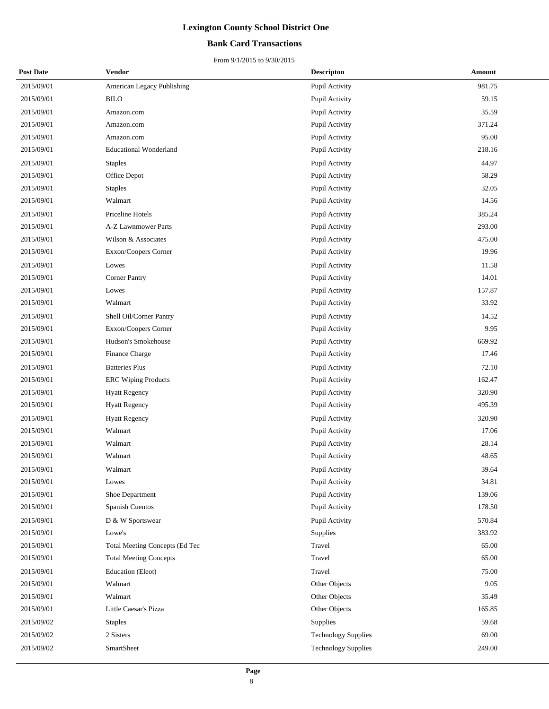### **Bank Card Transactions**

| <b>Post Date</b> | Vendor                         | <b>Descripton</b>          | Amount |
|------------------|--------------------------------|----------------------------|--------|
| 2015/09/01       | American Legacy Publishing     | Pupil Activity             | 981.75 |
| 2015/09/01       | <b>BILO</b>                    | Pupil Activity             | 59.15  |
| 2015/09/01       | Amazon.com                     | Pupil Activity             | 35.59  |
| 2015/09/01       | Amazon.com                     | Pupil Activity             | 371.24 |
| 2015/09/01       | Amazon.com                     | Pupil Activity             | 95.00  |
| 2015/09/01       | <b>Educational Wonderland</b>  | Pupil Activity             | 218.16 |
| 2015/09/01       | <b>Staples</b>                 | Pupil Activity             | 44.97  |
| 2015/09/01       | Office Depot                   | Pupil Activity             | 58.29  |
| 2015/09/01       | <b>Staples</b>                 | Pupil Activity             | 32.05  |
| 2015/09/01       | Walmart                        | Pupil Activity             | 14.56  |
| 2015/09/01       | Priceline Hotels               | Pupil Activity             | 385.24 |
| 2015/09/01       | A-Z Lawnmower Parts            | Pupil Activity             | 293.00 |
| 2015/09/01       | Wilson & Associates            | Pupil Activity             | 475.00 |
| 2015/09/01       | Exxon/Coopers Corner           | Pupil Activity             | 19.96  |
| 2015/09/01       | Lowes                          | Pupil Activity             | 11.58  |
| 2015/09/01       | <b>Corner Pantry</b>           | Pupil Activity             | 14.01  |
| 2015/09/01       | Lowes                          | Pupil Activity             | 157.87 |
| 2015/09/01       | Walmart                        | Pupil Activity             | 33.92  |
| 2015/09/01       | Shell Oil/Corner Pantry        | Pupil Activity             | 14.52  |
| 2015/09/01       | Exxon/Coopers Corner           | Pupil Activity             | 9.95   |
| 2015/09/01       | Hudson's Smokehouse            | Pupil Activity             | 669.92 |
| 2015/09/01       | Finance Charge                 | Pupil Activity             | 17.46  |
| 2015/09/01       | <b>Batteries Plus</b>          | Pupil Activity             | 72.10  |
| 2015/09/01       | <b>ERC Wiping Products</b>     | Pupil Activity             | 162.47 |
| 2015/09/01       | <b>Hyatt Regency</b>           | Pupil Activity             | 320.90 |
| 2015/09/01       | <b>Hyatt Regency</b>           | Pupil Activity             | 495.39 |
| 2015/09/01       | <b>Hyatt Regency</b>           | Pupil Activity             | 320.90 |
| 2015/09/01       | Walmart                        | Pupil Activity             | 17.06  |
| 2015/09/01       | Walmart                        | Pupil Activity             | 28.14  |
| 2015/09/01       | Walmart                        | Pupil Activity             | 48.65  |
| 2015/09/01       | Walmart                        | Pupil Activity             | 39.64  |
| 2015/09/01       | Lowes                          | Pupil Activity             | 34.81  |
| 2015/09/01       | Shoe Department                | Pupil Activity             | 139.06 |
| 2015/09/01       | Spanish Cuentos                | Pupil Activity             | 178.50 |
| 2015/09/01       | D & W Sportswear               | Pupil Activity             | 570.84 |
| 2015/09/01       | Lowe's                         | Supplies                   | 383.92 |
| 2015/09/01       | Total Meeting Concepts (Ed Tec | Travel                     | 65.00  |
| 2015/09/01       | <b>Total Meeting Concepts</b>  | Travel                     | 65.00  |
| 2015/09/01       | Education (Eleot)              | Travel                     | 75.00  |
| 2015/09/01       | Walmart                        | Other Objects              | 9.05   |
| 2015/09/01       | Walmart                        | Other Objects              | 35.49  |
| 2015/09/01       | Little Caesar's Pizza          | Other Objects              | 165.85 |
| 2015/09/02       | <b>Staples</b>                 | Supplies                   | 59.68  |
| 2015/09/02       | 2 Sisters                      | <b>Technology Supplies</b> | 69.00  |
| 2015/09/02       | SmartSheet                     | <b>Technology Supplies</b> | 249.00 |
|                  |                                |                            |        |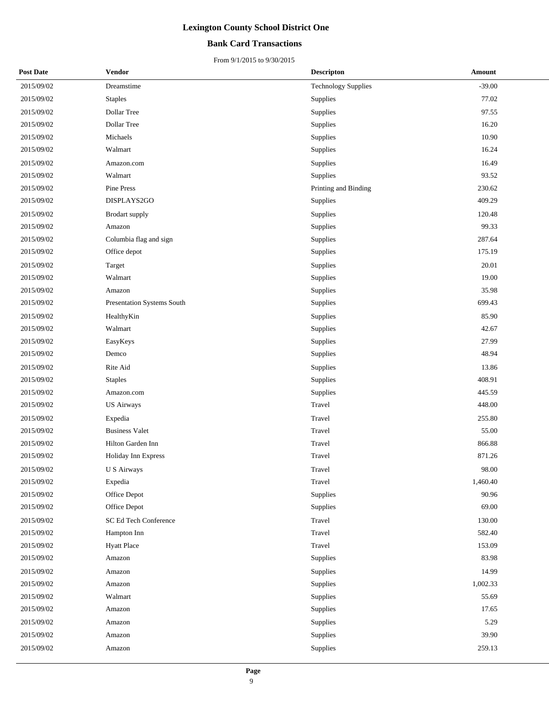### **Bank Card Transactions**

| <b>Post Date</b> | Vendor                     | <b>Descripton</b>          | <b>Amount</b> |
|------------------|----------------------------|----------------------------|---------------|
| 2015/09/02       | Dreamstime                 | <b>Technology Supplies</b> | $-39.00$      |
| 2015/09/02       | <b>Staples</b>             | Supplies                   | 77.02         |
| 2015/09/02       | Dollar Tree                | Supplies                   | 97.55         |
| 2015/09/02       | Dollar Tree                | Supplies                   | 16.20         |
| 2015/09/02       | Michaels                   | Supplies                   | 10.90         |
| 2015/09/02       | Walmart                    | Supplies                   | 16.24         |
| 2015/09/02       | Amazon.com                 | Supplies                   | 16.49         |
| 2015/09/02       | Walmart                    | Supplies                   | 93.52         |
| 2015/09/02       | Pine Press                 | Printing and Binding       | 230.62        |
| 2015/09/02       | DISPLAYS2GO                | Supplies                   | 409.29        |
| 2015/09/02       | Brodart supply             | Supplies                   | 120.48        |
| 2015/09/02       | Amazon                     | <b>Supplies</b>            | 99.33         |
| 2015/09/02       | Columbia flag and sign     | Supplies                   | 287.64        |
| 2015/09/02       | Office depot               | Supplies                   | 175.19        |
| 2015/09/02       | Target                     | Supplies                   | 20.01         |
| 2015/09/02       | Walmart                    | <b>Supplies</b>            | 19.00         |
| 2015/09/02       | Amazon                     | Supplies                   | 35.98         |
| 2015/09/02       | Presentation Systems South | Supplies                   | 699.43        |
| 2015/09/02       | HealthyKin                 | Supplies                   | 85.90         |
| 2015/09/02       | Walmart                    | <b>Supplies</b>            | 42.67         |
| 2015/09/02       | EasyKeys                   | Supplies                   | 27.99         |
| 2015/09/02       | Demco                      | Supplies                   | 48.94         |
| 2015/09/02       | Rite Aid                   | Supplies                   | 13.86         |
| 2015/09/02       | <b>Staples</b>             | Supplies                   | 408.91        |
| 2015/09/02       | Amazon.com                 | Supplies                   | 445.59        |
| 2015/09/02       | <b>US Airways</b>          | Travel                     | 448.00        |
| 2015/09/02       | Expedia                    | Travel                     | 255.80        |
| 2015/09/02       | <b>Business Valet</b>      | Travel                     | 55.00         |
| 2015/09/02       | Hilton Garden Inn          | Travel                     | 866.88        |
| 2015/09/02       | Holiday Inn Express        | Travel                     | 871.26        |
| 2015/09/02       | U S Airways                | Travel                     | 98.00         |
| 2015/09/02       | Expedia                    | Travel                     | 1,460.40      |
| 2015/09/02       | Office Depot               | Supplies                   | 90.96         |
| 2015/09/02       | Office Depot               | Supplies                   | 69.00         |
| 2015/09/02       | SC Ed Tech Conference      | Travel                     | 130.00        |
| 2015/09/02       | Hampton Inn                | Travel                     | 582.40        |
| 2015/09/02       | <b>Hyatt Place</b>         | Travel                     | 153.09        |
| 2015/09/02       | Amazon                     | Supplies                   | 83.98         |
| 2015/09/02       | Amazon                     | Supplies                   | 14.99         |
| 2015/09/02       | Amazon                     | Supplies                   | 1,002.33      |
| 2015/09/02       | Walmart                    | Supplies                   | 55.69         |
| 2015/09/02       | Amazon                     | Supplies                   | 17.65         |
| 2015/09/02       | Amazon                     | Supplies                   | 5.29          |
| 2015/09/02       | Amazon                     | Supplies                   | 39.90         |
| 2015/09/02       | Amazon                     | Supplies                   | 259.13        |
|                  |                            |                            |               |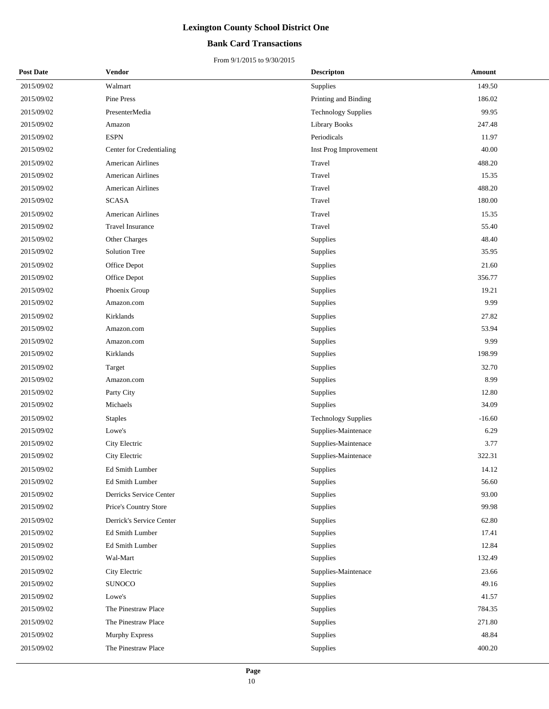### **Bank Card Transactions**

| <b>Post Date</b> | <b>Vendor</b>            | <b>Descripton</b>          | Amount   |
|------------------|--------------------------|----------------------------|----------|
| 2015/09/02       | Walmart                  | Supplies                   | 149.50   |
| 2015/09/02       | Pine Press               | Printing and Binding       | 186.02   |
| 2015/09/02       | PresenterMedia           | <b>Technology Supplies</b> | 99.95    |
| 2015/09/02       | Amazon                   | <b>Library Books</b>       | 247.48   |
| 2015/09/02       | <b>ESPN</b>              | Periodicals                | 11.97    |
| 2015/09/02       | Center for Credentialing | Inst Prog Improvement      | 40.00    |
| 2015/09/02       | American Airlines        | Travel                     | 488.20   |
| 2015/09/02       | <b>American Airlines</b> | Travel                     | 15.35    |
| 2015/09/02       | <b>American Airlines</b> | Travel                     | 488.20   |
| 2015/09/02       | <b>SCASA</b>             | Travel                     | 180.00   |
| 2015/09/02       | <b>American Airlines</b> | Travel                     | 15.35    |
| 2015/09/02       | <b>Travel Insurance</b>  | Travel                     | 55.40    |
| 2015/09/02       | Other Charges            | Supplies                   | 48.40    |
| 2015/09/02       | <b>Solution Tree</b>     | Supplies                   | 35.95    |
| 2015/09/02       | Office Depot             | Supplies                   | 21.60    |
| 2015/09/02       | Office Depot             | Supplies                   | 356.77   |
| 2015/09/02       | Phoenix Group            | <b>Supplies</b>            | 19.21    |
| 2015/09/02       | Amazon.com               | Supplies                   | 9.99     |
| 2015/09/02       | Kirklands                | Supplies                   | 27.82    |
| 2015/09/02       | Amazon.com               | Supplies                   | 53.94    |
| 2015/09/02       | Amazon.com               | Supplies                   | 9.99     |
| 2015/09/02       | Kirklands                | Supplies                   | 198.99   |
| 2015/09/02       | Target                   | Supplies                   | 32.70    |
| 2015/09/02       | Amazon.com               | Supplies                   | 8.99     |
| 2015/09/02       | Party City               | Supplies                   | 12.80    |
| 2015/09/02       | Michaels                 | Supplies                   | 34.09    |
| 2015/09/02       | <b>Staples</b>           | <b>Technology Supplies</b> | $-16.60$ |
| 2015/09/02       | Lowe's                   | Supplies-Maintenace        | 6.29     |
| 2015/09/02       | City Electric            | Supplies-Maintenace        | 3.77     |
| 2015/09/02       | City Electric            | Supplies-Maintenace        | 322.31   |
| 2015/09/02       | <b>Ed Smith Lumber</b>   | Supplies                   | 14.12    |
| 2015/09/02       | Ed Smith Lumber          | <b>Supplies</b>            | 56.60    |
| 2015/09/02       | Derricks Service Center  | Supplies                   | 93.00    |
| 2015/09/02       | Price's Country Store    | Supplies                   | 99.98    |
| 2015/09/02       | Derrick's Service Center | Supplies                   | 62.80    |
| 2015/09/02       | Ed Smith Lumber          | Supplies                   | 17.41    |
| 2015/09/02       | Ed Smith Lumber          | Supplies                   | 12.84    |
| 2015/09/02       | Wal-Mart                 | Supplies                   | 132.49   |
| 2015/09/02       | City Electric            | Supplies-Maintenace        | 23.66    |
| 2015/09/02       | <b>SUNOCO</b>            | Supplies                   | 49.16    |
| 2015/09/02       | Lowe's                   | Supplies                   | 41.57    |
| 2015/09/02       | The Pinestraw Place      | Supplies                   | 784.35   |
| 2015/09/02       | The Pinestraw Place      | Supplies                   | 271.80   |
| 2015/09/02       | Murphy Express           | Supplies                   | 48.84    |
| 2015/09/02       | The Pinestraw Place      | Supplies                   | 400.20   |
|                  |                          |                            |          |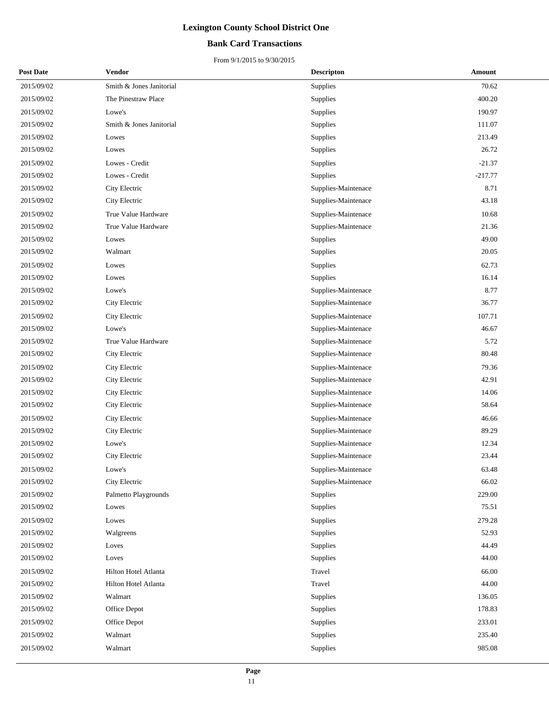### **Bank Card Transactions**

| <b>Post Date</b> | Vendor                   | <b>Descripton</b>   | Amount    |
|------------------|--------------------------|---------------------|-----------|
| 2015/09/02       | Smith & Jones Janitorial | Supplies            | 70.62     |
| 2015/09/02       | The Pinestraw Place      | Supplies            | 400.20    |
| 2015/09/02       | Lowe's                   | Supplies            | 190.97    |
| 2015/09/02       | Smith & Jones Janitorial | Supplies            | 111.07    |
| 2015/09/02       | Lowes                    | Supplies            | 213.49    |
| 2015/09/02       | Lowes                    | Supplies            | 26.72     |
| 2015/09/02       | Lowes - Credit           | Supplies            | $-21.37$  |
| 2015/09/02       | Lowes - Credit           | Supplies            | $-217.77$ |
| 2015/09/02       | City Electric            | Supplies-Maintenace | 8.71      |
| 2015/09/02       | City Electric            | Supplies-Maintenace | 43.18     |
| 2015/09/02       | True Value Hardware      | Supplies-Maintenace | 10.68     |
| 2015/09/02       | True Value Hardware      | Supplies-Maintenace | 21.36     |
| 2015/09/02       | Lowes                    | Supplies            | 49.00     |
| 2015/09/02       | Walmart                  | Supplies            | 20.05     |
| 2015/09/02       | Lowes                    | Supplies            | 62.73     |
| 2015/09/02       | Lowes                    | Supplies            | 16.14     |
| 2015/09/02       | Lowe's                   | Supplies-Maintenace | 8.77      |
| 2015/09/02       | City Electric            | Supplies-Maintenace | 36.77     |
| 2015/09/02       | City Electric            | Supplies-Maintenace | 107.71    |
| 2015/09/02       | Lowe's                   | Supplies-Maintenace | 46.67     |
| 2015/09/02       | True Value Hardware      | Supplies-Maintenace | 5.72      |
| 2015/09/02       | City Electric            | Supplies-Maintenace | 80.48     |
| 2015/09/02       | City Electric            | Supplies-Maintenace | 79.36     |
| 2015/09/02       | City Electric            | Supplies-Maintenace | 42.91     |
| 2015/09/02       | City Electric            | Supplies-Maintenace | 14.06     |
| 2015/09/02       | City Electric            | Supplies-Maintenace | 58.64     |
| 2015/09/02       | City Electric            | Supplies-Maintenace | 46.66     |
| 2015/09/02       | City Electric            | Supplies-Maintenace | 89.29     |
| 2015/09/02       | Lowe's                   | Supplies-Maintenace | 12.34     |
| 2015/09/02       | City Electric            | Supplies-Maintenace | 23.44     |
| 2015/09/02       | Lowe's                   | Supplies-Maintenace | 63.48     |
| 2015/09/02       | City Electric            | Supplies-Maintenace | 66.02     |
| 2015/09/02       | Palmetto Playgrounds     | Supplies            | 229.00    |
| 2015/09/02       | Lowes                    | Supplies            | 75.51     |
| 2015/09/02       | Lowes                    | Supplies            | 279.28    |
| 2015/09/02       | Walgreens                | Supplies            | 52.93     |
| 2015/09/02       | Loves                    | Supplies            | 44.49     |
| 2015/09/02       | Loves                    | Supplies            | 44.00     |
| 2015/09/02       | Hilton Hotel Atlanta     | Travel              | 66.00     |
| 2015/09/02       | Hilton Hotel Atlanta     | Travel              | 44.00     |
| 2015/09/02       | Walmart                  | Supplies            | 136.05    |
| 2015/09/02       | Office Depot             | Supplies            | 178.83    |
| 2015/09/02       | Office Depot             | Supplies            | 233.01    |
| 2015/09/02       | Walmart                  | Supplies            | 235.40    |
| 2015/09/02       | Walmart                  | Supplies            | 985.08    |
|                  |                          |                     |           |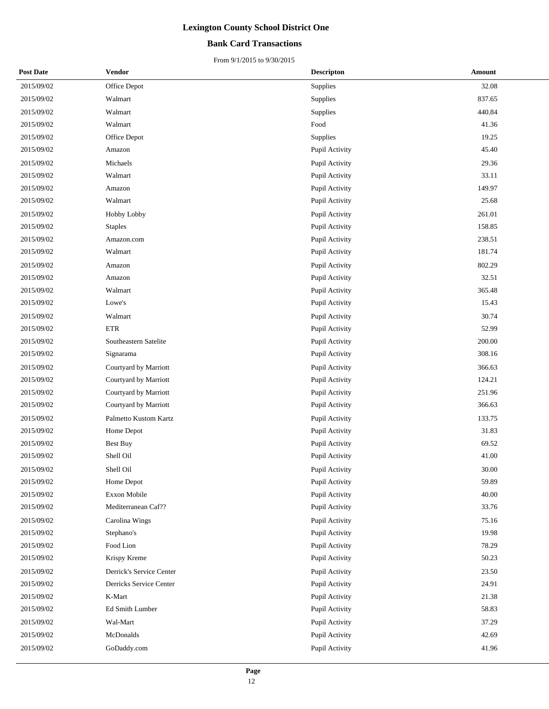### **Bank Card Transactions**

| <b>Post Date</b> | Vendor                   | <b>Descripton</b> | Amount |
|------------------|--------------------------|-------------------|--------|
| 2015/09/02       | Office Depot             | Supplies          | 32.08  |
| 2015/09/02       | Walmart                  | Supplies          | 837.65 |
| 2015/09/02       | Walmart                  | Supplies          | 440.84 |
| 2015/09/02       | Walmart                  | Food              | 41.36  |
| 2015/09/02       | Office Depot             | Supplies          | 19.25  |
| 2015/09/02       | Amazon                   | Pupil Activity    | 45.40  |
| 2015/09/02       | Michaels                 | Pupil Activity    | 29.36  |
| 2015/09/02       | Walmart                  | Pupil Activity    | 33.11  |
| 2015/09/02       | Amazon                   | Pupil Activity    | 149.97 |
| 2015/09/02       | Walmart                  | Pupil Activity    | 25.68  |
| 2015/09/02       | Hobby Lobby              | Pupil Activity    | 261.01 |
| 2015/09/02       | <b>Staples</b>           | Pupil Activity    | 158.85 |
| 2015/09/02       | Amazon.com               | Pupil Activity    | 238.51 |
| 2015/09/02       | Walmart                  | Pupil Activity    | 181.74 |
| 2015/09/02       | Amazon                   | Pupil Activity    | 802.29 |
| 2015/09/02       | Amazon                   | Pupil Activity    | 32.51  |
| 2015/09/02       | Walmart                  | Pupil Activity    | 365.48 |
| 2015/09/02       | Lowe's                   | Pupil Activity    | 15.43  |
| 2015/09/02       | Walmart                  | Pupil Activity    | 30.74  |
| 2015/09/02       | <b>ETR</b>               | Pupil Activity    | 52.99  |
| 2015/09/02       | Southeastern Satelite    | Pupil Activity    | 200.00 |
| 2015/09/02       | Signarama                | Pupil Activity    | 308.16 |
| 2015/09/02       | Courtyard by Marriott    | Pupil Activity    | 366.63 |
| 2015/09/02       | Courtyard by Marriott    | Pupil Activity    | 124.21 |
| 2015/09/02       | Courtyard by Marriott    | Pupil Activity    | 251.96 |
| 2015/09/02       | Courtyard by Marriott    | Pupil Activity    | 366.63 |
| 2015/09/02       | Palmetto Kustom Kartz    | Pupil Activity    | 133.75 |
| 2015/09/02       | Home Depot               | Pupil Activity    | 31.83  |
| 2015/09/02       | <b>Best Buy</b>          | Pupil Activity    | 69.52  |
| 2015/09/02       | Shell Oil                | Pupil Activity    | 41.00  |
| 2015/09/02       | Shell Oil                | Pupil Activity    | 30.00  |
| 2015/09/02       | Home Depot               | Pupil Activity    | 59.89  |
| 2015/09/02       | Exxon Mobile             | Pupil Activity    | 40.00  |
| 2015/09/02       | Mediterranean Caf??      | Pupil Activity    | 33.76  |
| 2015/09/02       | Carolina Wings           | Pupil Activity    | 75.16  |
| 2015/09/02       | Stephano's               | Pupil Activity    | 19.98  |
| 2015/09/02       | Food Lion                | Pupil Activity    | 78.29  |
| 2015/09/02       | Krispy Kreme             | Pupil Activity    | 50.23  |
| 2015/09/02       | Derrick's Service Center | Pupil Activity    | 23.50  |
| 2015/09/02       | Derricks Service Center  | Pupil Activity    | 24.91  |
| 2015/09/02       | K-Mart                   | Pupil Activity    | 21.38  |
| 2015/09/02       | Ed Smith Lumber          | Pupil Activity    | 58.83  |
| 2015/09/02       | Wal-Mart                 | Pupil Activity    | 37.29  |
| 2015/09/02       | McDonalds                | Pupil Activity    | 42.69  |
| 2015/09/02       | GoDaddy.com              | Pupil Activity    | 41.96  |
|                  |                          |                   |        |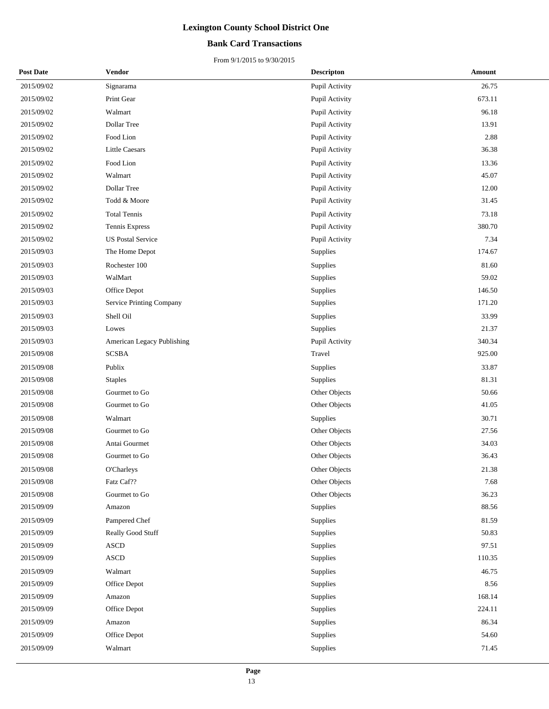### **Bank Card Transactions**

| <b>Post Date</b> | Vendor                     | <b>Descripton</b> | Amount |
|------------------|----------------------------|-------------------|--------|
| 2015/09/02       | Signarama                  | Pupil Activity    | 26.75  |
| 2015/09/02       | Print Gear                 | Pupil Activity    | 673.11 |
| 2015/09/02       | Walmart                    | Pupil Activity    | 96.18  |
| 2015/09/02       | Dollar Tree                | Pupil Activity    | 13.91  |
| 2015/09/02       | Food Lion                  | Pupil Activity    | 2.88   |
| 2015/09/02       | <b>Little Caesars</b>      | Pupil Activity    | 36.38  |
| 2015/09/02       | Food Lion                  | Pupil Activity    | 13.36  |
| 2015/09/02       | Walmart                    | Pupil Activity    | 45.07  |
| 2015/09/02       | Dollar Tree                | Pupil Activity    | 12.00  |
| 2015/09/02       | Todd & Moore               | Pupil Activity    | 31.45  |
| 2015/09/02       | <b>Total Tennis</b>        | Pupil Activity    | 73.18  |
| 2015/09/02       | Tennis Express             | Pupil Activity    | 380.70 |
| 2015/09/02       | <b>US Postal Service</b>   | Pupil Activity    | 7.34   |
| 2015/09/03       | The Home Depot             | Supplies          | 174.67 |
| 2015/09/03       | Rochester 100              | Supplies          | 81.60  |
| 2015/09/03       | WalMart                    | Supplies          | 59.02  |
| 2015/09/03       | Office Depot               | Supplies          | 146.50 |
| 2015/09/03       | Service Printing Company   | Supplies          | 171.20 |
| 2015/09/03       | Shell Oil                  | Supplies          | 33.99  |
| 2015/09/03       | Lowes                      | Supplies          | 21.37  |
| 2015/09/03       | American Legacy Publishing | Pupil Activity    | 340.34 |
| 2015/09/08       | <b>SCSBA</b>               | Travel            | 925.00 |
| 2015/09/08       | Publix                     | Supplies          | 33.87  |
| 2015/09/08       | <b>Staples</b>             | Supplies          | 81.31  |
| 2015/09/08       | Gourmet to Go              | Other Objects     | 50.66  |
| 2015/09/08       | Gourmet to Go              | Other Objects     | 41.05  |
| 2015/09/08       | Walmart                    | Supplies          | 30.71  |
| 2015/09/08       | Gourmet to Go              | Other Objects     | 27.56  |
| 2015/09/08       | Antai Gourmet              | Other Objects     | 34.03  |
| 2015/09/08       | Gourmet to Go              | Other Objects     | 36.43  |
| 2015/09/08       | <b>O'Charleys</b>          | Other Objects     | 21.38  |
| 2015/09/08       | Fatz Caf??                 | Other Objects     | 7.68   |
| 2015/09/08       | Gourmet to Go              | Other Objects     | 36.23  |
| 2015/09/09       | Amazon                     | Supplies          | 88.56  |
| 2015/09/09       | Pampered Chef              | Supplies          | 81.59  |
| 2015/09/09       | Really Good Stuff          | Supplies          | 50.83  |
| 2015/09/09       | <b>ASCD</b>                | Supplies          | 97.51  |
| 2015/09/09       | <b>ASCD</b>                | Supplies          | 110.35 |
| 2015/09/09       | Walmart                    | Supplies          | 46.75  |
| 2015/09/09       | Office Depot               | Supplies          | 8.56   |
| 2015/09/09       | Amazon                     | Supplies          | 168.14 |
| 2015/09/09       | Office Depot               | Supplies          | 224.11 |
| 2015/09/09       | Amazon                     | Supplies          | 86.34  |
| 2015/09/09       | Office Depot               | Supplies          | 54.60  |
| 2015/09/09       | Walmart                    | Supplies          | 71.45  |
|                  |                            |                   |        |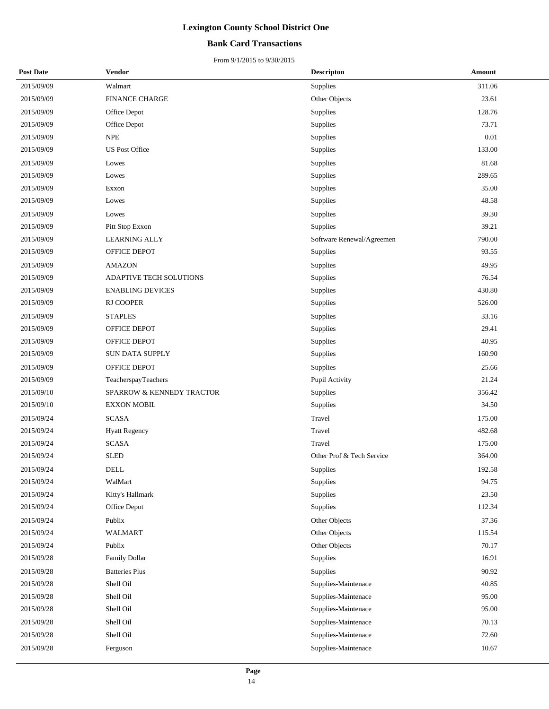### **Bank Card Transactions**

| <b>Post Date</b> | Vendor                         | <b>Descripton</b>         | Amount   |
|------------------|--------------------------------|---------------------------|----------|
| 2015/09/09       | Walmart                        | Supplies                  | 311.06   |
| 2015/09/09       | <b>FINANCE CHARGE</b>          | Other Objects             | 23.61    |
| 2015/09/09       | Office Depot                   | Supplies                  | 128.76   |
| 2015/09/09       | Office Depot                   | Supplies                  | 73.71    |
| 2015/09/09       | <b>NPE</b>                     | Supplies                  | $0.01\,$ |
| 2015/09/09       | <b>US Post Office</b>          | Supplies                  | 133.00   |
| 2015/09/09       | Lowes                          | Supplies                  | 81.68    |
| 2015/09/09       | Lowes                          | Supplies                  | 289.65   |
| 2015/09/09       | Exxon                          | Supplies                  | 35.00    |
| 2015/09/09       | Lowes                          | Supplies                  | 48.58    |
| 2015/09/09       | Lowes                          | Supplies                  | 39.30    |
| 2015/09/09       | Pitt Stop Exxon                | Supplies                  | 39.21    |
| 2015/09/09       | <b>LEARNING ALLY</b>           | Software Renewal/Agreemen | 790.00   |
| 2015/09/09       | OFFICE DEPOT                   | Supplies                  | 93.55    |
| 2015/09/09       | <b>AMAZON</b>                  | Supplies                  | 49.95    |
| 2015/09/09       | <b>ADAPTIVE TECH SOLUTIONS</b> | Supplies                  | 76.54    |
| 2015/09/09       | <b>ENABLING DEVICES</b>        | Supplies                  | 430.80   |
| 2015/09/09       | RJ COOPER                      | Supplies                  | 526.00   |
| 2015/09/09       | <b>STAPLES</b>                 | Supplies                  | 33.16    |
| 2015/09/09       | OFFICE DEPOT                   | Supplies                  | 29.41    |
| 2015/09/09       | OFFICE DEPOT                   | Supplies                  | 40.95    |
| 2015/09/09       | SUN DATA SUPPLY                | Supplies                  | 160.90   |
| 2015/09/09       | OFFICE DEPOT                   | Supplies                  | 25.66    |
| 2015/09/09       | TeacherspayTeachers            | Pupil Activity            | 21.24    |
| 2015/09/10       | SPARROW & KENNEDY TRACTOR      | Supplies                  | 356.42   |
| 2015/09/10       | <b>EXXON MOBIL</b>             | Supplies                  | 34.50    |
| 2015/09/24       | <b>SCASA</b>                   | Travel                    | 175.00   |
| 2015/09/24       | <b>Hyatt Regency</b>           | Travel                    | 482.68   |
| 2015/09/24       | <b>SCASA</b>                   | Travel                    | 175.00   |
| 2015/09/24       | <b>SLED</b>                    | Other Prof & Tech Service | 364.00   |
| 2015/09/24       | <b>DELL</b>                    | Supplies                  | 192.58   |
| 2015/09/24       | WalMart                        | Supplies                  | 94.75    |
| 2015/09/24       | Kitty's Hallmark               | Supplies                  | 23.50    |
| 2015/09/24       | Office Depot                   | Supplies                  | 112.34   |
| 2015/09/24       | Publix                         | Other Objects             | 37.36    |
| 2015/09/24       | WALMART                        | Other Objects             | 115.54   |
| 2015/09/24       | Publix                         | Other Objects             | 70.17    |
| 2015/09/28       | Family Dollar                  | Supplies                  | 16.91    |
| 2015/09/28       | <b>Batteries Plus</b>          | Supplies                  | 90.92    |
| 2015/09/28       | Shell Oil                      | Supplies-Maintenace       | 40.85    |
| 2015/09/28       | Shell Oil                      | Supplies-Maintenace       | 95.00    |
| 2015/09/28       | Shell Oil                      | Supplies-Maintenace       | 95.00    |
| 2015/09/28       | Shell Oil                      | Supplies-Maintenace       | 70.13    |
| 2015/09/28       | Shell Oil                      | Supplies-Maintenace       | 72.60    |
| 2015/09/28       | Ferguson                       | Supplies-Maintenace       | 10.67    |
|                  |                                |                           |          |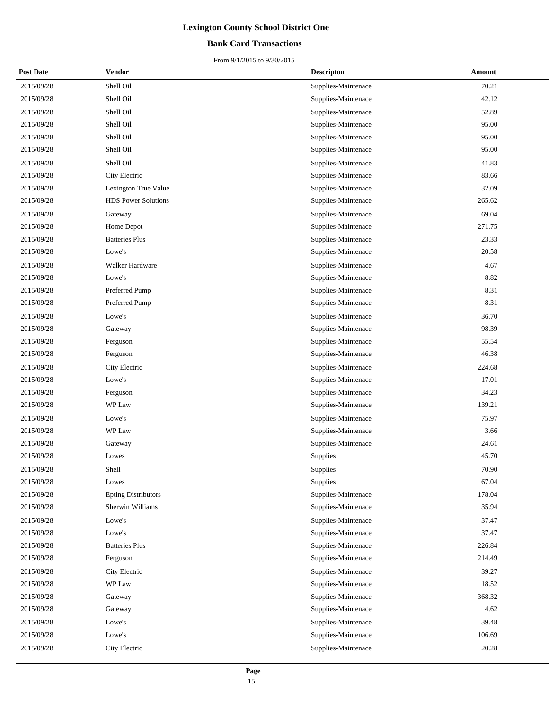### **Bank Card Transactions**

| <b>Post Date</b> | Vendor                     | <b>Descripton</b>   | Amount |
|------------------|----------------------------|---------------------|--------|
| 2015/09/28       | Shell Oil                  | Supplies-Maintenace | 70.21  |
| 2015/09/28       | Shell Oil                  | Supplies-Maintenace | 42.12  |
| 2015/09/28       | Shell Oil                  | Supplies-Maintenace | 52.89  |
| 2015/09/28       | Shell Oil                  | Supplies-Maintenace | 95.00  |
| 2015/09/28       | Shell Oil                  | Supplies-Maintenace | 95.00  |
| 2015/09/28       | Shell Oil                  | Supplies-Maintenace | 95.00  |
| 2015/09/28       | Shell Oil                  | Supplies-Maintenace | 41.83  |
| 2015/09/28       | City Electric              | Supplies-Maintenace | 83.66  |
| 2015/09/28       | Lexington True Value       | Supplies-Maintenace | 32.09  |
| 2015/09/28       | <b>HDS</b> Power Solutions | Supplies-Maintenace | 265.62 |
| 2015/09/28       | Gateway                    | Supplies-Maintenace | 69.04  |
| 2015/09/28       | Home Depot                 | Supplies-Maintenace | 271.75 |
| 2015/09/28       | <b>Batteries Plus</b>      | Supplies-Maintenace | 23.33  |
| 2015/09/28       | Lowe's                     | Supplies-Maintenace | 20.58  |
| 2015/09/28       | Walker Hardware            | Supplies-Maintenace | 4.67   |
| 2015/09/28       | Lowe's                     | Supplies-Maintenace | 8.82   |
| 2015/09/28       | Preferred Pump             | Supplies-Maintenace | 8.31   |
| 2015/09/28       | Preferred Pump             | Supplies-Maintenace | 8.31   |
| 2015/09/28       | Lowe's                     | Supplies-Maintenace | 36.70  |
| 2015/09/28       | Gateway                    | Supplies-Maintenace | 98.39  |
| 2015/09/28       | Ferguson                   | Supplies-Maintenace | 55.54  |
| 2015/09/28       | Ferguson                   | Supplies-Maintenace | 46.38  |
| 2015/09/28       | City Electric              | Supplies-Maintenace | 224.68 |
| 2015/09/28       | Lowe's                     | Supplies-Maintenace | 17.01  |
| 2015/09/28       | Ferguson                   | Supplies-Maintenace | 34.23  |
| 2015/09/28       | WP Law                     | Supplies-Maintenace | 139.21 |
| 2015/09/28       | Lowe's                     | Supplies-Maintenace | 75.97  |
| 2015/09/28       | WP Law                     | Supplies-Maintenace | 3.66   |
| 2015/09/28       | Gateway                    | Supplies-Maintenace | 24.61  |
| 2015/09/28       | Lowes                      | Supplies            | 45.70  |
| 2015/09/28       | Shell                      | Supplies            | 70.90  |
| 2015/09/28       | Lowes                      | Supplies            | 67.04  |
| 2015/09/28       | <b>Epting Distributors</b> | Supplies-Maintenace | 178.04 |
| 2015/09/28       | Sherwin Williams           | Supplies-Maintenace | 35.94  |
| 2015/09/28       | Lowe's                     | Supplies-Maintenace | 37.47  |
| 2015/09/28       | Lowe's                     | Supplies-Maintenace | 37.47  |
| 2015/09/28       | <b>Batteries Plus</b>      | Supplies-Maintenace | 226.84 |
| 2015/09/28       | Ferguson                   | Supplies-Maintenace | 214.49 |
| 2015/09/28       | City Electric              | Supplies-Maintenace | 39.27  |
| 2015/09/28       | WP Law                     | Supplies-Maintenace | 18.52  |
| 2015/09/28       | Gateway                    | Supplies-Maintenace | 368.32 |
| 2015/09/28       | Gateway                    | Supplies-Maintenace | 4.62   |
| 2015/09/28       | Lowe's                     | Supplies-Maintenace | 39.48  |
| 2015/09/28       | Lowe's                     | Supplies-Maintenace | 106.69 |
| 2015/09/28       | City Electric              | Supplies-Maintenace | 20.28  |
|                  |                            |                     |        |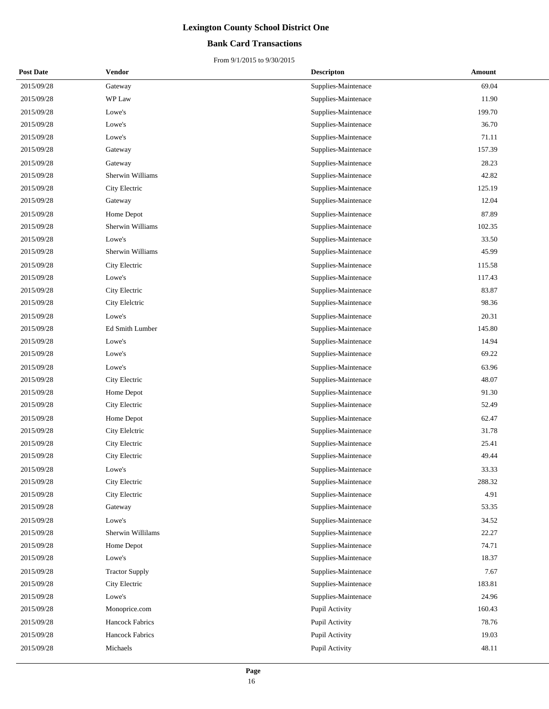### **Bank Card Transactions**

| <b>Post Date</b> | Vendor                 | <b>Descripton</b>   | Amount |
|------------------|------------------------|---------------------|--------|
| 2015/09/28       | Gateway                | Supplies-Maintenace | 69.04  |
| 2015/09/28       | WP Law                 | Supplies-Maintenace | 11.90  |
| 2015/09/28       | Lowe's                 | Supplies-Maintenace | 199.70 |
| 2015/09/28       | Lowe's                 | Supplies-Maintenace | 36.70  |
| 2015/09/28       | Lowe's                 | Supplies-Maintenace | 71.11  |
| 2015/09/28       | Gateway                | Supplies-Maintenace | 157.39 |
| 2015/09/28       | Gateway                | Supplies-Maintenace | 28.23  |
| 2015/09/28       | Sherwin Williams       | Supplies-Maintenace | 42.82  |
| 2015/09/28       | City Electric          | Supplies-Maintenace | 125.19 |
| 2015/09/28       | Gateway                | Supplies-Maintenace | 12.04  |
| 2015/09/28       | Home Depot             | Supplies-Maintenace | 87.89  |
| 2015/09/28       | Sherwin Williams       | Supplies-Maintenace | 102.35 |
| 2015/09/28       | Lowe's                 | Supplies-Maintenace | 33.50  |
| 2015/09/28       | Sherwin Williams       | Supplies-Maintenace | 45.99  |
| 2015/09/28       | City Electric          | Supplies-Maintenace | 115.58 |
| 2015/09/28       | Lowe's                 | Supplies-Maintenace | 117.43 |
| 2015/09/28       | City Electric          | Supplies-Maintenace | 83.87  |
| 2015/09/28       | City Elelctric         | Supplies-Maintenace | 98.36  |
| 2015/09/28       | Lowe's                 | Supplies-Maintenace | 20.31  |
| 2015/09/28       | Ed Smith Lumber        | Supplies-Maintenace | 145.80 |
| 2015/09/28       | Lowe's                 | Supplies-Maintenace | 14.94  |
| 2015/09/28       | Lowe's                 | Supplies-Maintenace | 69.22  |
| 2015/09/28       | Lowe's                 | Supplies-Maintenace | 63.96  |
| 2015/09/28       | City Electric          | Supplies-Maintenace | 48.07  |
| 2015/09/28       | Home Depot             | Supplies-Maintenace | 91.30  |
| 2015/09/28       | City Electric          | Supplies-Maintenace | 52.49  |
| 2015/09/28       | Home Depot             | Supplies-Maintenace | 62.47  |
| 2015/09/28       | City Elelctric         | Supplies-Maintenace | 31.78  |
| 2015/09/28       | City Electric          | Supplies-Maintenace | 25.41  |
| 2015/09/28       | City Electric          | Supplies-Maintenace | 49.44  |
| 2015/09/28       | Lowe's                 | Supplies-Maintenace | 33.33  |
| 2015/09/28       | City Electric          | Supplies-Maintenace | 288.32 |
| 2015/09/28       | City Electric          | Supplies-Maintenace | 4.91   |
| 2015/09/28       | Gateway                | Supplies-Maintenace | 53.35  |
| 2015/09/28       | Lowe's                 | Supplies-Maintenace | 34.52  |
| 2015/09/28       | Sherwin Willilams      | Supplies-Maintenace | 22.27  |
| 2015/09/28       | Home Depot             | Supplies-Maintenace | 74.71  |
| 2015/09/28       | Lowe's                 | Supplies-Maintenace | 18.37  |
| 2015/09/28       | <b>Tractor Supply</b>  | Supplies-Maintenace | 7.67   |
| 2015/09/28       | City Electric          | Supplies-Maintenace | 183.81 |
| 2015/09/28       | Lowe's                 | Supplies-Maintenace | 24.96  |
| 2015/09/28       | Monoprice.com          | Pupil Activity      | 160.43 |
| 2015/09/28       | <b>Hancock Fabrics</b> | Pupil Activity      | 78.76  |
| 2015/09/28       | <b>Hancock Fabrics</b> | Pupil Activity      | 19.03  |
| 2015/09/28       | Michaels               | Pupil Activity      | 48.11  |
|                  |                        |                     |        |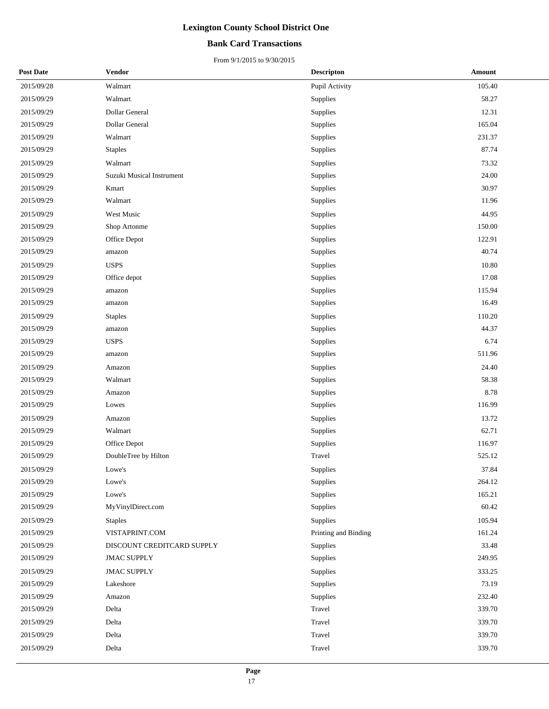### **Bank Card Transactions**

| <b>Post Date</b> | Vendor                     | <b>Descripton</b>    | <b>Amount</b> |
|------------------|----------------------------|----------------------|---------------|
| 2015/09/28       | Walmart                    | Pupil Activity       | 105.40        |
| 2015/09/29       | Walmart                    | Supplies             | 58.27         |
| 2015/09/29       | Dollar General             | Supplies             | 12.31         |
| 2015/09/29       | Dollar General             | Supplies             | 165.04        |
| 2015/09/29       | Walmart                    | Supplies             | 231.37        |
| 2015/09/29       | <b>Staples</b>             | Supplies             | 87.74         |
| 2015/09/29       | Walmart                    | Supplies             | 73.32         |
| 2015/09/29       | Suzuki Musical Instrument  | Supplies             | 24.00         |
| 2015/09/29       | Kmart                      | Supplies             | 30.97         |
| 2015/09/29       | Walmart                    | Supplies             | 11.96         |
| 2015/09/29       | West Music                 | Supplies             | 44.95         |
| 2015/09/29       | Shop Artonme               | Supplies             | 150.00        |
| 2015/09/29       | Office Depot               | Supplies             | 122.91        |
| 2015/09/29       | amazon                     | Supplies             | 40.74         |
| 2015/09/29       | <b>USPS</b>                | Supplies             | 10.80         |
| 2015/09/29       | Office depot               | Supplies             | 17.08         |
| 2015/09/29       | amazon                     | Supplies             | 115.94        |
| 2015/09/29       | amazon                     | Supplies             | 16.49         |
| 2015/09/29       | <b>Staples</b>             | Supplies             | 110.20        |
| 2015/09/29       | amazon                     | Supplies             | 44.37         |
| 2015/09/29       | <b>USPS</b>                | Supplies             | 6.74          |
| 2015/09/29       | amazon                     | Supplies             | 511.96        |
| 2015/09/29       | Amazon                     | Supplies             | 24.40         |
| 2015/09/29       | Walmart                    | Supplies             | 58.38         |
| 2015/09/29       | Amazon                     | Supplies             | 8.78          |
| 2015/09/29       | Lowes                      | Supplies             | 116.99        |
| 2015/09/29       | Amazon                     | Supplies             | 13.72         |
| 2015/09/29       | Walmart                    | Supplies             | 62.71         |
| 2015/09/29       | Office Depot               | Supplies             | 116.97        |
| 2015/09/29       | DoubleTree by Hilton       | Travel               | 525.12        |
| 2015/09/29       | Lowe's                     | Supplies             | 37.84         |
| 2015/09/29       | Lowe's                     | Supplies             | 264.12        |
| 2015/09/29       | Lowe's                     | Supplies             | 165.21        |
| 2015/09/29       | MyVinylDirect.com          | Supplies             | 60.42         |
| 2015/09/29       | <b>Staples</b>             | Supplies             | 105.94        |
| 2015/09/29       | VISTAPRINT.COM             | Printing and Binding | 161.24        |
| 2015/09/29       | DISCOUNT CREDITCARD SUPPLY | Supplies             | 33.48         |
| 2015/09/29       | <b>JMAC SUPPLY</b>         | Supplies             | 249.95        |
| 2015/09/29       | <b>JMAC SUPPLY</b>         | Supplies             | 333.25        |
| 2015/09/29       | Lakeshore                  | Supplies             | 73.19         |
| 2015/09/29       | Amazon                     | Supplies             | 232.40        |
| 2015/09/29       | Delta                      | Travel               | 339.70        |
| 2015/09/29       | Delta                      | Travel               | 339.70        |
| 2015/09/29       | Delta                      | Travel               | 339.70        |
| 2015/09/29       | Delta                      | Travel               | 339.70        |
|                  |                            |                      |               |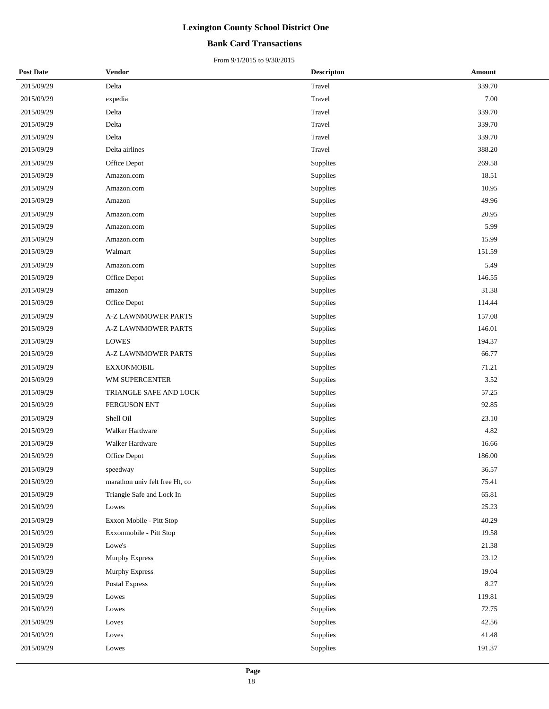### **Bank Card Transactions**

| <b>Post Date</b> | <b>Vendor</b>                  | <b>Descripton</b> | <b>Amount</b> |
|------------------|--------------------------------|-------------------|---------------|
| 2015/09/29       | Delta                          | Travel            | 339.70        |
| 2015/09/29       | expedia                        | Travel            | 7.00          |
| 2015/09/29       | Delta                          | Travel            | 339.70        |
| 2015/09/29       | Delta                          | Travel            | 339.70        |
| 2015/09/29       | Delta                          | Travel            | 339.70        |
| 2015/09/29       | Delta airlines                 | Travel            | 388.20        |
| 2015/09/29       | Office Depot                   | Supplies          | 269.58        |
| 2015/09/29       | Amazon.com                     | Supplies          | 18.51         |
| 2015/09/29       | Amazon.com                     | Supplies          | 10.95         |
| 2015/09/29       | Amazon                         | Supplies          | 49.96         |
| 2015/09/29       | Amazon.com                     | Supplies          | 20.95         |
| 2015/09/29       | Amazon.com                     | Supplies          | 5.99          |
| 2015/09/29       | Amazon.com                     | Supplies          | 15.99         |
| 2015/09/29       | Walmart                        | Supplies          | 151.59        |
| 2015/09/29       | Amazon.com                     | Supplies          | 5.49          |
| 2015/09/29       | Office Depot                   | Supplies          | 146.55        |
| 2015/09/29       | amazon                         | Supplies          | 31.38         |
| 2015/09/29       | Office Depot                   | Supplies          | 114.44        |
| 2015/09/29       | A-Z LAWNMOWER PARTS            | Supplies          | 157.08        |
| 2015/09/29       | <b>A-Z LAWNMOWER PARTS</b>     | Supplies          | 146.01        |
| 2015/09/29       | <b>LOWES</b>                   | Supplies          | 194.37        |
| 2015/09/29       | A-Z LAWNMOWER PARTS            | Supplies          | 66.77         |
| 2015/09/29       | <b>EXXONMOBIL</b>              | Supplies          | 71.21         |
| 2015/09/29       | WM SUPERCENTER                 | Supplies          | 3.52          |
| 2015/09/29       | TRIANGLE SAFE AND LOCK         | Supplies          | 57.25         |
| 2015/09/29       | FERGUSON ENT                   | Supplies          | 92.85         |
| 2015/09/29       | Shell Oil                      | Supplies          | 23.10         |
| 2015/09/29       | Walker Hardware                | Supplies          | 4.82          |
| 2015/09/29       | Walker Hardware                | Supplies          | 16.66         |
| 2015/09/29       | Office Depot                   | Supplies          | 186.00        |
| 2015/09/29       | speedway                       | Supplies          | 36.57         |
| 2015/09/29       | marathon univ felt free Ht, co | <b>Supplies</b>   | 75.41         |
| 2015/09/29       | Triangle Safe and Lock In      | Supplies          | 65.81         |
| 2015/09/29       | Lowes                          | Supplies          | 25.23         |
| 2015/09/29       | Exxon Mobile - Pitt Stop       | Supplies          | 40.29         |
| 2015/09/29       | Exxonmobile - Pitt Stop        | Supplies          | 19.58         |
| 2015/09/29       | Lowe's                         | Supplies          | 21.38         |
| 2015/09/29       | Murphy Express                 | Supplies          | 23.12         |
| 2015/09/29       | <b>Murphy Express</b>          | Supplies          | 19.04         |
| 2015/09/29       | Postal Express                 | Supplies          | 8.27          |
| 2015/09/29       | Lowes                          | Supplies          | 119.81        |
| 2015/09/29       | Lowes                          | Supplies          | 72.75         |
| 2015/09/29       | Loves                          | Supplies          | 42.56         |
| 2015/09/29       | Loves                          | Supplies          | 41.48         |
| 2015/09/29       | Lowes                          | Supplies          | 191.37        |
|                  |                                |                   |               |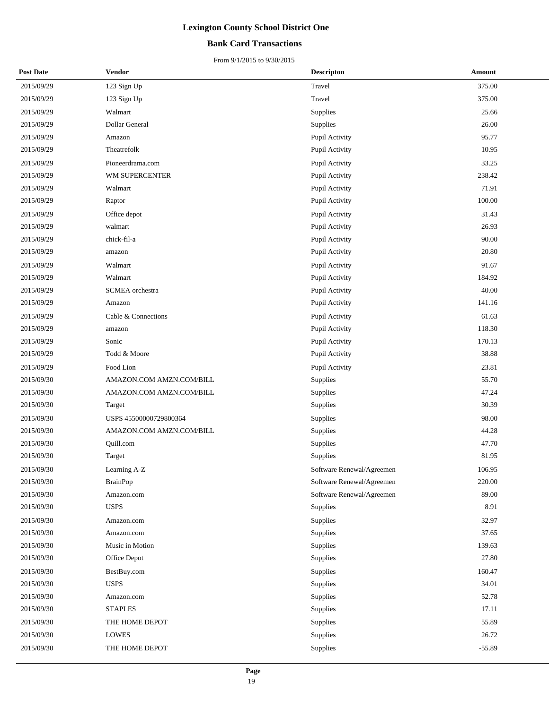### **Bank Card Transactions**

| <b>Post Date</b> | Vendor                   | <b>Descripton</b>         | Amount   |
|------------------|--------------------------|---------------------------|----------|
| 2015/09/29       | 123 Sign Up              | Travel                    | 375.00   |
| 2015/09/29       | 123 Sign Up              | Travel                    | 375.00   |
| 2015/09/29       | Walmart                  | Supplies                  | 25.66    |
| 2015/09/29       | Dollar General           | Supplies                  | 26.00    |
| 2015/09/29       | Amazon                   | Pupil Activity            | 95.77    |
| 2015/09/29       | Theatrefolk              | Pupil Activity            | 10.95    |
| 2015/09/29       | Pioneerdrama.com         | Pupil Activity            | 33.25    |
| 2015/09/29       | WM SUPERCENTER           | Pupil Activity            | 238.42   |
| 2015/09/29       | Walmart                  | Pupil Activity            | 71.91    |
| 2015/09/29       | Raptor                   | Pupil Activity            | 100.00   |
| 2015/09/29       | Office depot             | Pupil Activity            | 31.43    |
| 2015/09/29       | walmart                  | Pupil Activity            | 26.93    |
| 2015/09/29       | chick-fil-a              | Pupil Activity            | 90.00    |
| 2015/09/29       | amazon                   | Pupil Activity            | 20.80    |
| 2015/09/29       | Walmart                  | Pupil Activity            | 91.67    |
| 2015/09/29       | Walmart                  | Pupil Activity            | 184.92   |
| 2015/09/29       | SCMEA orchestra          | Pupil Activity            | 40.00    |
| 2015/09/29       | Amazon                   | Pupil Activity            | 141.16   |
| 2015/09/29       | Cable & Connections      | Pupil Activity            | 61.63    |
| 2015/09/29       | amazon                   | Pupil Activity            | 118.30   |
| 2015/09/29       | Sonic                    | Pupil Activity            | 170.13   |
| 2015/09/29       | Todd & Moore             | Pupil Activity            | 38.88    |
| 2015/09/29       | Food Lion                | Pupil Activity            | 23.81    |
| 2015/09/30       | AMAZON.COM AMZN.COM/BILL | Supplies                  | 55.70    |
| 2015/09/30       | AMAZON.COM AMZN.COM/BILL | Supplies                  | 47.24    |
| 2015/09/30       | Target                   | Supplies                  | 30.39    |
| 2015/09/30       | USPS 45500000729800364   | Supplies                  | 98.00    |
| 2015/09/30       | AMAZON.COM AMZN.COM/BILL | Supplies                  | 44.28    |
| 2015/09/30       | Quill.com                | Supplies                  | 47.70    |
| 2015/09/30       | Target                   | Supplies                  | 81.95    |
| 2015/09/30       | Learning A-Z             | Software Renewal/Agreemen | 106.95   |
| 2015/09/30       | <b>BrainPop</b>          | Software Renewal/Agreemen | 220.00   |
| 2015/09/30       | Amazon.com               | Software Renewal/Agreemen | 89.00    |
| 2015/09/30       | <b>USPS</b>              | Supplies                  | 8.91     |
| 2015/09/30       | Amazon.com               | Supplies                  | 32.97    |
| 2015/09/30       | Amazon.com               | Supplies                  | 37.65    |
| 2015/09/30       | Music in Motion          | Supplies                  | 139.63   |
| 2015/09/30       | Office Depot             | Supplies                  | 27.80    |
| 2015/09/30       | BestBuy.com              | Supplies                  | 160.47   |
| 2015/09/30       | <b>USPS</b>              | Supplies                  | 34.01    |
| 2015/09/30       | Amazon.com               | Supplies                  | 52.78    |
| 2015/09/30       | <b>STAPLES</b>           | Supplies                  | 17.11    |
| 2015/09/30       | THE HOME DEPOT           | Supplies                  | 55.89    |
| 2015/09/30       | <b>LOWES</b>             | Supplies                  | 26.72    |
| 2015/09/30       | THE HOME DEPOT           | Supplies                  | $-55.89$ |
|                  |                          |                           |          |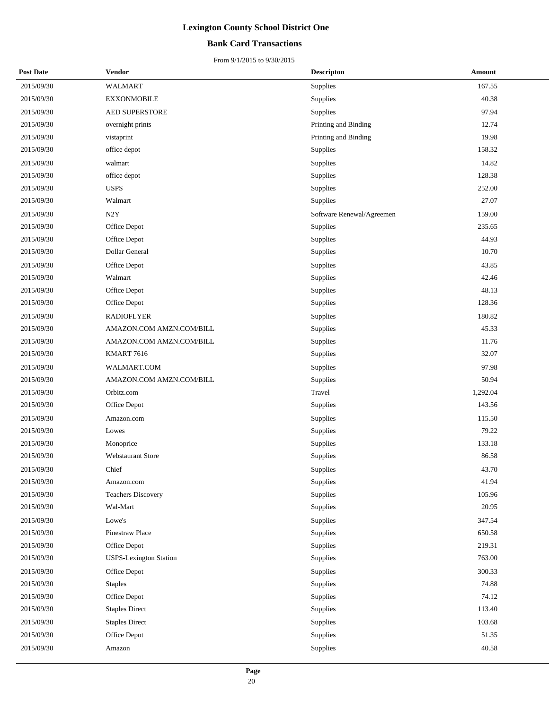### **Bank Card Transactions**

| <b>Post Date</b> | <b>Vendor</b>                 | <b>Descripton</b>         | <b>Amount</b> |
|------------------|-------------------------------|---------------------------|---------------|
| 2015/09/30       | WALMART                       | Supplies                  | 167.55        |
| 2015/09/30       | <b>EXXONMOBILE</b>            | Supplies                  | 40.38         |
| 2015/09/30       | <b>AED SUPERSTORE</b>         | Supplies                  | 97.94         |
| 2015/09/30       | overnight prints              | Printing and Binding      | 12.74         |
| 2015/09/30       | vistaprint                    | Printing and Binding      | 19.98         |
| 2015/09/30       | office depot                  | Supplies                  | 158.32        |
| 2015/09/30       | walmart                       | Supplies                  | 14.82         |
| 2015/09/30       | office depot                  | Supplies                  | 128.38        |
| 2015/09/30       | <b>USPS</b>                   | Supplies                  | 252.00        |
| 2015/09/30       | Walmart                       | Supplies                  | 27.07         |
| 2015/09/30       | N2Y                           | Software Renewal/Agreemen | 159.00        |
| 2015/09/30       | Office Depot                  | Supplies                  | 235.65        |
| 2015/09/30       | Office Depot                  | Supplies                  | 44.93         |
| 2015/09/30       | Dollar General                | Supplies                  | 10.70         |
| 2015/09/30       | Office Depot                  | Supplies                  | 43.85         |
| 2015/09/30       | Walmart                       | Supplies                  | 42.46         |
| 2015/09/30       | Office Depot                  | Supplies                  | 48.13         |
| 2015/09/30       | Office Depot                  | Supplies                  | 128.36        |
| 2015/09/30       | <b>RADIOFLYER</b>             | Supplies                  | 180.82        |
| 2015/09/30       | AMAZON.COM AMZN.COM/BILL      | Supplies                  | 45.33         |
| 2015/09/30       | AMAZON.COM AMZN.COM/BILL      | Supplies                  | 11.76         |
| 2015/09/30       | KMART 7616                    | Supplies                  | 32.07         |
| 2015/09/30       | WALMART.COM                   | Supplies                  | 97.98         |
| 2015/09/30       | AMAZON.COM AMZN.COM/BILL      | Supplies                  | 50.94         |
| 2015/09/30       | Orbitz.com                    | Travel                    | 1,292.04      |
| 2015/09/30       | Office Depot                  | Supplies                  | 143.56        |
| 2015/09/30       | Amazon.com                    | Supplies                  | 115.50        |
| 2015/09/30       | Lowes                         | Supplies                  | 79.22         |
| 2015/09/30       | Monoprice                     | Supplies                  | 133.18        |
| 2015/09/30       | <b>Webstaurant Store</b>      | Supplies                  | 86.58         |
| 2015/09/30       | Chief                         | Supplies                  | 43.70         |
| 2015/09/30       | Amazon.com                    | Supplies                  | 41.94         |
| 2015/09/30       | <b>Teachers Discovery</b>     | Supplies                  | 105.96        |
| 2015/09/30       | Wal-Mart                      | Supplies                  | 20.95         |
| 2015/09/30       | Lowe's                        | Supplies                  | 347.54        |
| 2015/09/30       | Pinestraw Place               | Supplies                  | 650.58        |
| 2015/09/30       | Office Depot                  | Supplies                  | 219.31        |
| 2015/09/30       | <b>USPS-Lexington Station</b> | Supplies                  | 763.00        |
| 2015/09/30       | Office Depot                  | Supplies                  | 300.33        |
| 2015/09/30       | <b>Staples</b>                | Supplies                  | 74.88         |
| 2015/09/30       | Office Depot                  | Supplies                  | 74.12         |
| 2015/09/30       | <b>Staples Direct</b>         | Supplies                  | 113.40        |
| 2015/09/30       | <b>Staples Direct</b>         | Supplies                  | 103.68        |
| 2015/09/30       | Office Depot                  | Supplies                  | 51.35         |
| 2015/09/30       | Amazon                        | Supplies                  | 40.58         |
|                  |                               |                           |               |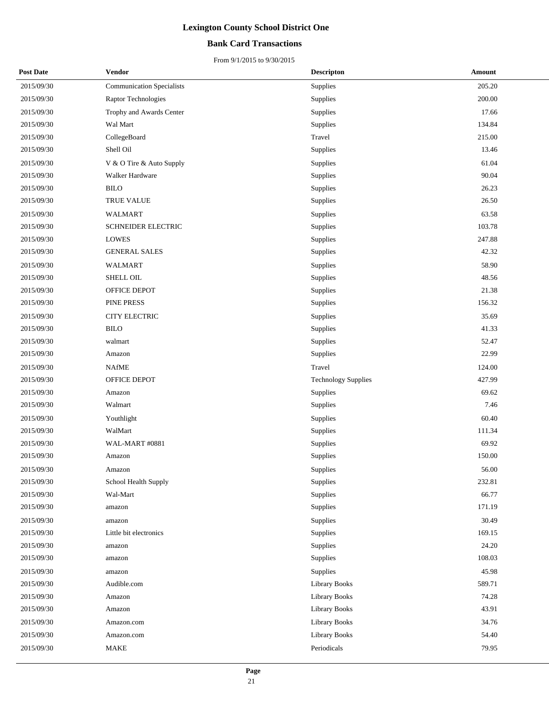### **Bank Card Transactions**

| <b>Post Date</b> | Vendor                           | <b>Descripton</b>          | Amount |
|------------------|----------------------------------|----------------------------|--------|
| 2015/09/30       | <b>Communication Specialists</b> | Supplies                   | 205.20 |
| 2015/09/30       | Raptor Technologies              | Supplies                   | 200.00 |
| 2015/09/30       | Trophy and Awards Center         | Supplies                   | 17.66  |
| 2015/09/30       | Wal Mart                         | Supplies                   | 134.84 |
| 2015/09/30       | CollegeBoard                     | Travel                     | 215.00 |
| 2015/09/30       | Shell Oil                        | Supplies                   | 13.46  |
| 2015/09/30       | V & O Tire & Auto Supply         | Supplies                   | 61.04  |
| 2015/09/30       | <b>Walker Hardware</b>           | Supplies                   | 90.04  |
| 2015/09/30       | <b>BILO</b>                      | Supplies                   | 26.23  |
| 2015/09/30       | TRUE VALUE                       | Supplies                   | 26.50  |
| 2015/09/30       | WALMART                          | Supplies                   | 63.58  |
| 2015/09/30       | SCHNEIDER ELECTRIC               | Supplies                   | 103.78 |
| 2015/09/30       | <b>LOWES</b>                     | Supplies                   | 247.88 |
| 2015/09/30       | <b>GENERAL SALES</b>             | Supplies                   | 42.32  |
| 2015/09/30       | <b>WALMART</b>                   | <b>Supplies</b>            | 58.90  |
| 2015/09/30       | SHELL OIL                        | Supplies                   | 48.56  |
| 2015/09/30       | OFFICE DEPOT                     | Supplies                   | 21.38  |
| 2015/09/30       | PINE PRESS                       | Supplies                   | 156.32 |
| 2015/09/30       | <b>CITY ELECTRIC</b>             | Supplies                   | 35.69  |
| 2015/09/30       | <b>BILO</b>                      | Supplies                   | 41.33  |
| 2015/09/30       | walmart                          | Supplies                   | 52.47  |
| 2015/09/30       | Amazon                           | Supplies                   | 22.99  |
| 2015/09/30       | <b>NAfME</b>                     | Travel                     | 124.00 |
| 2015/09/30       | OFFICE DEPOT                     | <b>Technology Supplies</b> | 427.99 |
| 2015/09/30       | Amazon                           | Supplies                   | 69.62  |
| 2015/09/30       | Walmart                          | Supplies                   | 7.46   |
| 2015/09/30       | Youthlight                       | Supplies                   | 60.40  |
| 2015/09/30       | WalMart                          | Supplies                   | 111.34 |
| 2015/09/30       | WAL-MART #0881                   | Supplies                   | 69.92  |
| 2015/09/30       | Amazon                           | Supplies                   | 150.00 |
| 2015/09/30       | Amazon                           | Supplies                   | 56.00  |
| 2015/09/30       | School Health Supply             | Supplies                   | 232.81 |
| 2015/09/30       | Wal-Mart                         | Supplies                   | 66.77  |
| 2015/09/30       | amazon                           | Supplies                   | 171.19 |
| 2015/09/30       | amazon                           | Supplies                   | 30.49  |
| 2015/09/30       | Little bit electronics           | Supplies                   | 169.15 |
| 2015/09/30       | amazon                           | Supplies                   | 24.20  |
| 2015/09/30       | amazon                           | Supplies                   | 108.03 |
| 2015/09/30       | amazon                           | Supplies                   | 45.98  |
| 2015/09/30       | Audible.com                      | Library Books              | 589.71 |
| 2015/09/30       | Amazon                           | Library Books              | 74.28  |
| 2015/09/30       | Amazon                           | <b>Library Books</b>       | 43.91  |
| 2015/09/30       | Amazon.com                       | <b>Library Books</b>       | 34.76  |
| 2015/09/30       | Amazon.com                       | Library Books              | 54.40  |
| 2015/09/30       | MAKE                             | Periodicals                | 79.95  |
|                  |                                  |                            |        |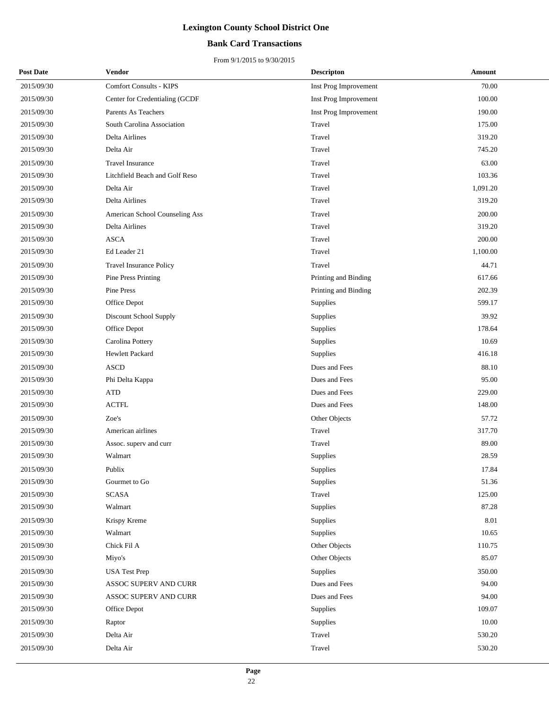### **Bank Card Transactions**

| <b>Post Date</b> | Vendor                         | <b>Descripton</b>     | Amount   |
|------------------|--------------------------------|-----------------------|----------|
| 2015/09/30       | <b>Comfort Consults - KIPS</b> | Inst Prog Improvement | 70.00    |
| 2015/09/30       | Center for Credentialing (GCDF | Inst Prog Improvement | 100.00   |
| 2015/09/30       | Parents As Teachers            | Inst Prog Improvement | 190.00   |
| 2015/09/30       | South Carolina Association     | Travel                | 175.00   |
| 2015/09/30       | Delta Airlines                 | Travel                | 319.20   |
| 2015/09/30       | Delta Air                      | Travel                | 745.20   |
| 2015/09/30       | <b>Travel Insurance</b>        | Travel                | 63.00    |
| 2015/09/30       | Litchfield Beach and Golf Reso | Travel                | 103.36   |
| 2015/09/30       | Delta Air                      | Travel                | 1,091.20 |
| 2015/09/30       | Delta Airlines                 | Travel                | 319.20   |
| 2015/09/30       | American School Counseling Ass | Travel                | 200.00   |
| 2015/09/30       | Delta Airlines                 | Travel                | 319.20   |
| 2015/09/30       | <b>ASCA</b>                    | Travel                | 200.00   |
| 2015/09/30       | Ed Leader 21                   | Travel                | 1,100.00 |
| 2015/09/30       | <b>Travel Insurance Policy</b> | Travel                | 44.71    |
| 2015/09/30       | Pine Press Printing            | Printing and Binding  | 617.66   |
| 2015/09/30       | Pine Press                     | Printing and Binding  | 202.39   |
| 2015/09/30       | Office Depot                   | Supplies              | 599.17   |
| 2015/09/30       | Discount School Supply         | Supplies              | 39.92    |
| 2015/09/30       | Office Depot                   | Supplies              | 178.64   |
| 2015/09/30       | Carolina Pottery               | Supplies              | 10.69    |
| 2015/09/30       | Hewlett Packard                | Supplies              | 416.18   |
| 2015/09/30       | <b>ASCD</b>                    | Dues and Fees         | 88.10    |
| 2015/09/30       | Phi Delta Kappa                | Dues and Fees         | 95.00    |
| 2015/09/30       | <b>ATD</b>                     | Dues and Fees         | 229.00   |
| 2015/09/30       | $\operatorname{ACTFL}$         | Dues and Fees         | 148.00   |
| 2015/09/30       | Zoe's                          | Other Objects         | 57.72    |
| 2015/09/30       | American airlines              | Travel                | 317.70   |
| 2015/09/30       | Assoc. superv and curr         | Travel                | 89.00    |
| 2015/09/30       | Walmart                        | Supplies              | 28.59    |
| 2015/09/30       | Publix                         | Supplies              | 17.84    |
| 2015/09/30       | Gourmet to Go                  | Supplies              | 51.36    |
| 2015/09/30       | <b>SCASA</b>                   | Travel                | 125.00   |
| 2015/09/30       | Walmart                        | Supplies              | 87.28    |
| 2015/09/30       | Krispy Kreme                   | Supplies              | 8.01     |
| 2015/09/30       | Walmart                        | Supplies              | 10.65    |
| 2015/09/30       | Chick Fil A                    | Other Objects         | 110.75   |
| 2015/09/30       | Miyo's                         | Other Objects         | 85.07    |
| 2015/09/30       | <b>USA Test Prep</b>           | Supplies              | 350.00   |
| 2015/09/30       | ASSOC SUPERV AND CURR          | Dues and Fees         | 94.00    |
| 2015/09/30       | ASSOC SUPERV AND CURR          | Dues and Fees         | 94.00    |
| 2015/09/30       | Office Depot                   | Supplies              | 109.07   |
| 2015/09/30       | Raptor                         | Supplies              | 10.00    |
| 2015/09/30       | Delta Air                      | Travel                | 530.20   |
| 2015/09/30       | Delta Air                      | Travel                | 530.20   |
|                  |                                |                       |          |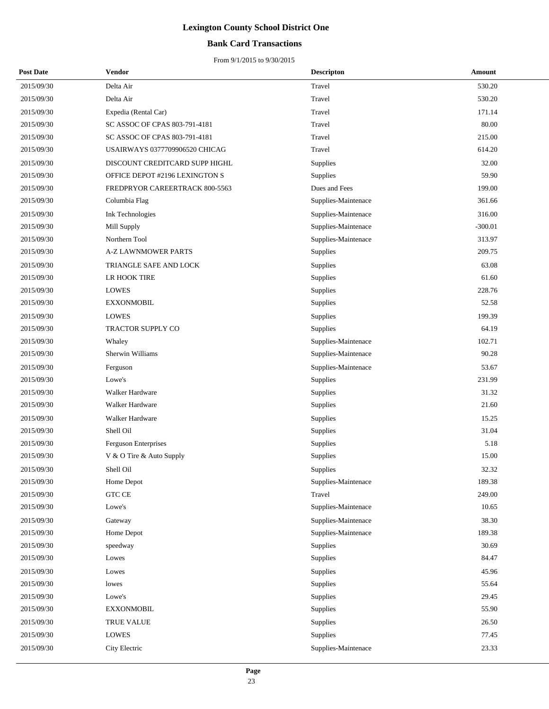### **Bank Card Transactions**

| <b>Post Date</b> | Vendor                         | <b>Descripton</b>   | Amount    |
|------------------|--------------------------------|---------------------|-----------|
| 2015/09/30       | Delta Air                      | Travel              | 530.20    |
| 2015/09/30       | Delta Air                      | Travel              | 530.20    |
| 2015/09/30       | Expedia (Rental Car)           | Travel              | 171.14    |
| 2015/09/30       | SC ASSOC OF CPAS 803-791-4181  | Travel              | 80.00     |
| 2015/09/30       | SC ASSOC OF CPAS 803-791-4181  | Travel              | 215.00    |
| 2015/09/30       | USAIRWAYS 0377709906520 CHICAG | Travel              | 614.20    |
| 2015/09/30       | DISCOUNT CREDITCARD SUPP HIGHL | Supplies            | 32.00     |
| 2015/09/30       | OFFICE DEPOT #2196 LEXINGTON S | Supplies            | 59.90     |
| 2015/09/30       | FREDPRYOR CAREERTRACK 800-5563 | Dues and Fees       | 199.00    |
| 2015/09/30       | Columbia Flag                  | Supplies-Maintenace | 361.66    |
| 2015/09/30       | Ink Technologies               | Supplies-Maintenace | 316.00    |
| 2015/09/30       | Mill Supply                    | Supplies-Maintenace | $-300.01$ |
| 2015/09/30       | Northern Tool                  | Supplies-Maintenace | 313.97    |
| 2015/09/30       | <b>A-Z LAWNMOWER PARTS</b>     | Supplies            | 209.75    |
| 2015/09/30       | TRIANGLE SAFE AND LOCK         | Supplies            | 63.08     |
| 2015/09/30       | LR HOOK TIRE                   | Supplies            | 61.60     |
| 2015/09/30       | <b>LOWES</b>                   | Supplies            | 228.76    |
| 2015/09/30       | <b>EXXONMOBIL</b>              | Supplies            | 52.58     |
| 2015/09/30       | LOWES                          | Supplies            | 199.39    |
| 2015/09/30       | TRACTOR SUPPLY CO              | Supplies            | 64.19     |
| 2015/09/30       | Whaley                         | Supplies-Maintenace | 102.71    |
| 2015/09/30       | Sherwin Williams               | Supplies-Maintenace | 90.28     |
| 2015/09/30       | Ferguson                       | Supplies-Maintenace | 53.67     |
| 2015/09/30       | Lowe's                         | Supplies            | 231.99    |
| 2015/09/30       | Walker Hardware                | Supplies            | 31.32     |
| 2015/09/30       | Walker Hardware                | Supplies            | 21.60     |
| 2015/09/30       | Walker Hardware                | Supplies            | 15.25     |
| 2015/09/30       | Shell Oil                      | Supplies            | 31.04     |
| 2015/09/30       | Ferguson Enterprises           | Supplies            | 5.18      |
| 2015/09/30       | V & O Tire & Auto Supply       | Supplies            | 15.00     |
| 2015/09/30       | Shell Oil                      | Supplies            | 32.32     |
| 2015/09/30       | Home Depot                     | Supplies-Maintenace | 189.38    |
| 2015/09/30       | GTC CE                         | Travel              | 249.00    |
| 2015/09/30       | Lowe's                         | Supplies-Maintenace | 10.65     |
| 2015/09/30       | Gateway                        | Supplies-Maintenace | 38.30     |
| 2015/09/30       | Home Depot                     | Supplies-Maintenace | 189.38    |
| 2015/09/30       | speedway                       | Supplies            | 30.69     |
| 2015/09/30       | Lowes                          | Supplies            | 84.47     |
| 2015/09/30       | Lowes                          | Supplies            | 45.96     |
| 2015/09/30       | lowes                          | Supplies            | 55.64     |
| 2015/09/30       | Lowe's                         | Supplies            | 29.45     |
| 2015/09/30       | <b>EXXONMOBIL</b>              | Supplies            | 55.90     |
| 2015/09/30       | TRUE VALUE                     | Supplies            | 26.50     |
| 2015/09/30       | <b>LOWES</b>                   | Supplies            | 77.45     |
| 2015/09/30       | City Electric                  | Supplies-Maintenace | 23.33     |
|                  |                                |                     |           |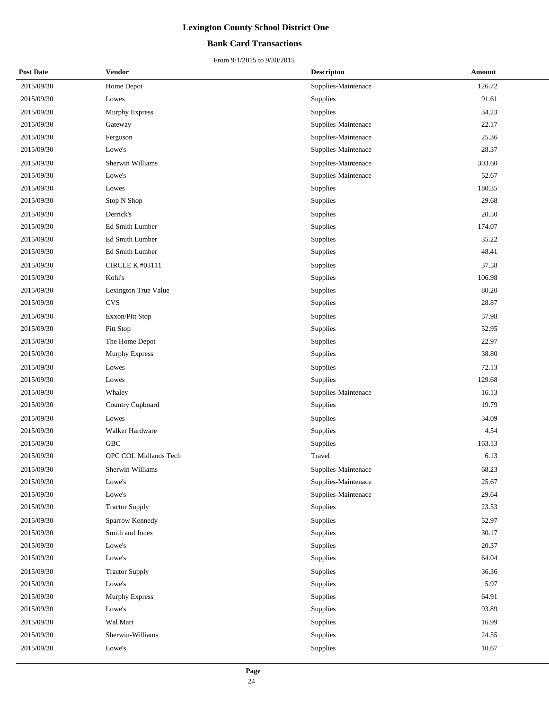### **Bank Card Transactions**

| <b>Post Date</b> | Vendor                 | <b>Descripton</b>   | <b>Amount</b> |
|------------------|------------------------|---------------------|---------------|
| 2015/09/30       | Home Depot             | Supplies-Maintenace | 126.72        |
| 2015/09/30       | Lowes                  | <b>Supplies</b>     | 91.61         |
| 2015/09/30       | <b>Murphy Express</b>  | Supplies            | 34.23         |
| 2015/09/30       | Gateway                | Supplies-Maintenace | 22.17         |
| 2015/09/30       | Ferguson               | Supplies-Maintenace | 25.36         |
| 2015/09/30       | Lowe's                 | Supplies-Maintenace | 28.37         |
| 2015/09/30       | Sherwin Williams       | Supplies-Maintenace | 303.60        |
| 2015/09/30       | Lowe's                 | Supplies-Maintenace | 52.67         |
| 2015/09/30       | Lowes                  | Supplies            | 180.35        |
| 2015/09/30       | Stop N Shop            | Supplies            | 29.68         |
| 2015/09/30       | Derrick's              | Supplies            | 20.50         |
| 2015/09/30       | Ed Smith Lumber        | Supplies            | 174.07        |
| 2015/09/30       | Ed Smith Lumber        | Supplies            | 35.22         |
| 2015/09/30       | Ed Smith Lumber        | Supplies            | 48.41         |
| 2015/09/30       | <b>CIRCLE K #03111</b> | Supplies            | 37.58         |
| 2015/09/30       | Kohl's                 | Supplies            | 106.98        |
| 2015/09/30       | Lexington True Value   | Supplies            | 80.20         |
| 2015/09/30       | <b>CVS</b>             | Supplies            | 28.87         |
| 2015/09/30       | Exxon/Pitt Stop        | Supplies            | 57.98         |
| 2015/09/30       | Pitt Stop              | Supplies            | 52.95         |
| 2015/09/30       | The Home Depot         | Supplies            | 22.97         |
| 2015/09/30       | <b>Murphy Express</b>  | Supplies            | 38.80         |
| 2015/09/30       | Lowes                  | Supplies            | 72.13         |
| 2015/09/30       | Lowes                  | Supplies            | 129.68        |
| 2015/09/30       | Whaley                 | Supplies-Maintenace | 16.13         |
| 2015/09/30       | Country Cupboard       | Supplies            | 19.79         |
| 2015/09/30       | Lowes                  | Supplies            | 34.09         |
| 2015/09/30       | Walker Hardware        | Supplies            | 4.54          |
| 2015/09/30       | GBC                    | Supplies            | 163.13        |
| 2015/09/30       | OPC COL Midlands Tech  | Travel              | 6.13          |
| 2015/09/30       | Sherwin Williams       | Supplies-Maintenace | 68.23         |
| 2015/09/30       | Lowe's                 | Supplies-Maintenace | 25.67         |
| 2015/09/30       | Lowe's                 | Supplies-Maintenace | 29.64         |
| 2015/09/30       | <b>Tractor Supply</b>  | Supplies            | 23.53         |
| 2015/09/30       | Sparrow Kennedy        | Supplies            | 52.97         |
| 2015/09/30       | Smith and Jones        | Supplies            | 30.17         |
| 2015/09/30       | Lowe's                 | Supplies            | 20.37         |
| 2015/09/30       | Lowe's                 | Supplies            | 64.04         |
| 2015/09/30       | <b>Tractor Supply</b>  | Supplies            | 36.36         |
| 2015/09/30       | Lowe's                 | Supplies            | 5.97          |
| 2015/09/30       | Murphy Express         | Supplies            | 64.91         |
| 2015/09/30       | Lowe's                 | Supplies            | 93.89         |
| 2015/09/30       | Wal Mart               | Supplies            | 16.99         |
| 2015/09/30       | Sherwin-Williams       | Supplies            | 24.55         |
| 2015/09/30       | Lowe's                 | Supplies            | 10.67         |
|                  |                        |                     |               |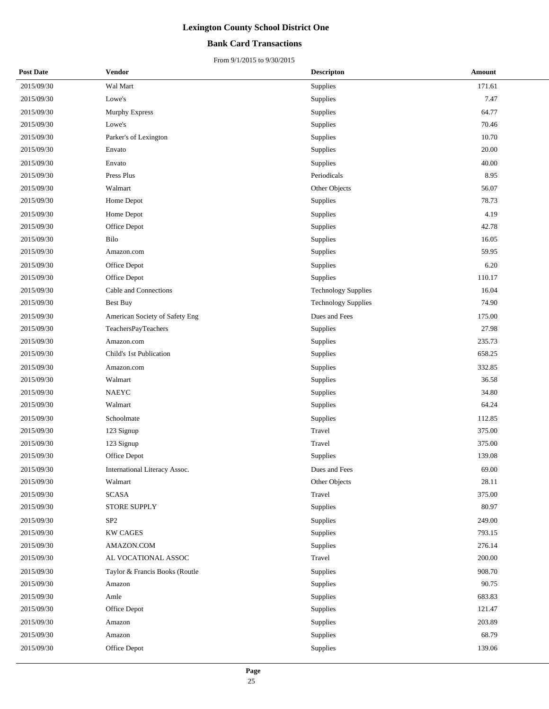### **Bank Card Transactions**

| <b>Post Date</b> | Vendor                         | <b>Descripton</b>          | Amount |
|------------------|--------------------------------|----------------------------|--------|
| 2015/09/30       | Wal Mart                       | Supplies                   | 171.61 |
| 2015/09/30       | Lowe's                         | Supplies                   | 7.47   |
| 2015/09/30       | Murphy Express                 | Supplies                   | 64.77  |
| 2015/09/30       | Lowe's                         | Supplies                   | 70.46  |
| 2015/09/30       | Parker's of Lexington          | Supplies                   | 10.70  |
| 2015/09/30       | Envato                         | Supplies                   | 20.00  |
| 2015/09/30       | Envato                         | Supplies                   | 40.00  |
| 2015/09/30       | Press Plus                     | Periodicals                | 8.95   |
| 2015/09/30       | Walmart                        | Other Objects              | 56.07  |
| 2015/09/30       | Home Depot                     | Supplies                   | 78.73  |
| 2015/09/30       | Home Depot                     | Supplies                   | 4.19   |
| 2015/09/30       | Office Depot                   | Supplies                   | 42.78  |
| 2015/09/30       | Bilo                           | Supplies                   | 16.05  |
| 2015/09/30       | Amazon.com                     | Supplies                   | 59.95  |
| 2015/09/30       | Office Depot                   | Supplies                   | 6.20   |
| 2015/09/30       | Office Depot                   | Supplies                   | 110.17 |
| 2015/09/30       | Cable and Connections          | <b>Technology Supplies</b> | 16.04  |
| 2015/09/30       | <b>Best Buy</b>                | <b>Technology Supplies</b> | 74.90  |
| 2015/09/30       | American Society of Safety Eng | Dues and Fees              | 175.00 |
| 2015/09/30       | TeachersPayTeachers            | Supplies                   | 27.98  |
| 2015/09/30       | Amazon.com                     | Supplies                   | 235.73 |
| 2015/09/30       | Child's 1st Publication        | Supplies                   | 658.25 |
| 2015/09/30       | Amazon.com                     | Supplies                   | 332.85 |
| 2015/09/30       | Walmart                        | Supplies                   | 36.58  |
| 2015/09/30       | <b>NAEYC</b>                   | Supplies                   | 34.80  |
| 2015/09/30       | Walmart                        | Supplies                   | 64.24  |
| 2015/09/30       | Schoolmate                     | Supplies                   | 112.85 |
| 2015/09/30       | 123 Signup                     | Travel                     | 375.00 |
| 2015/09/30       | 123 Signup                     | Travel                     | 375.00 |
| 2015/09/30       | Office Depot                   | Supplies                   | 139.08 |
| 2015/09/30       | International Literacy Assoc.  | Dues and Fees              | 69.00  |
| 2015/09/30       | Walmart                        | Other Objects              | 28.11  |
| 2015/09/30       | <b>SCASA</b>                   | Travel                     | 375.00 |
| 2015/09/30       | STORE SUPPLY                   | Supplies                   | 80.97  |
| 2015/09/30       | SP <sub>2</sub>                | Supplies                   | 249.00 |
| 2015/09/30       | <b>KW CAGES</b>                | Supplies                   | 793.15 |
| 2015/09/30       | AMAZON.COM                     | Supplies                   | 276.14 |
| 2015/09/30       | AL VOCATIONAL ASSOC            | Travel                     | 200.00 |
| 2015/09/30       | Taylor & Francis Books (Routle | Supplies                   | 908.70 |
| 2015/09/30       | Amazon                         | Supplies                   | 90.75  |
| 2015/09/30       | Amle                           | Supplies                   | 683.83 |
| 2015/09/30       | Office Depot                   | Supplies                   | 121.47 |
| 2015/09/30       | Amazon                         | Supplies                   | 203.89 |
| 2015/09/30       | Amazon                         | Supplies                   | 68.79  |
| 2015/09/30       | Office Depot                   | Supplies                   | 139.06 |
|                  |                                |                            |        |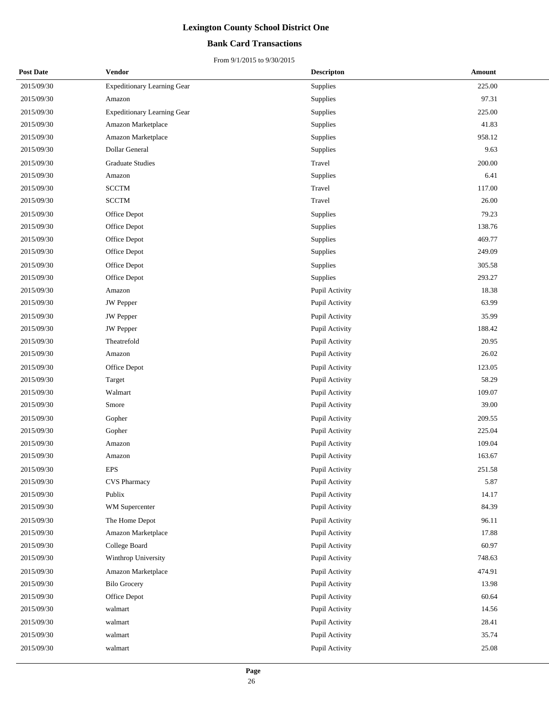### **Bank Card Transactions**

| <b>Post Date</b> | Vendor                             | <b>Descripton</b> | Amount |
|------------------|------------------------------------|-------------------|--------|
| 2015/09/30       | <b>Expeditionary Learning Gear</b> | Supplies          | 225.00 |
| 2015/09/30       | Amazon                             | Supplies          | 97.31  |
| 2015/09/30       | <b>Expeditionary Learning Gear</b> | Supplies          | 225.00 |
| 2015/09/30       | Amazon Marketplace                 | Supplies          | 41.83  |
| 2015/09/30       | Amazon Marketplace                 | Supplies          | 958.12 |
| 2015/09/30       | Dollar General                     | Supplies          | 9.63   |
| 2015/09/30       | <b>Graduate Studies</b>            | Travel            | 200.00 |
| 2015/09/30       | Amazon                             | Supplies          | 6.41   |
| 2015/09/30       | <b>SCCTM</b>                       | Travel            | 117.00 |
| 2015/09/30       | <b>SCCTM</b>                       | Travel            | 26.00  |
| 2015/09/30       | Office Depot                       | Supplies          | 79.23  |
| 2015/09/30       | Office Depot                       | Supplies          | 138.76 |
| 2015/09/30       | Office Depot                       | Supplies          | 469.77 |
| 2015/09/30       | Office Depot                       | Supplies          | 249.09 |
| 2015/09/30       | Office Depot                       | Supplies          | 305.58 |
| 2015/09/30       | Office Depot                       | Supplies          | 293.27 |
| 2015/09/30       | Amazon                             | Pupil Activity    | 18.38  |
| 2015/09/30       | <b>JW</b> Pepper                   | Pupil Activity    | 63.99  |
| 2015/09/30       | <b>JW</b> Pepper                   | Pupil Activity    | 35.99  |
| 2015/09/30       | <b>JW</b> Pepper                   | Pupil Activity    | 188.42 |
| 2015/09/30       | Theatrefold                        | Pupil Activity    | 20.95  |
| 2015/09/30       | Amazon                             | Pupil Activity    | 26.02  |
| 2015/09/30       | Office Depot                       | Pupil Activity    | 123.05 |
| 2015/09/30       | Target                             | Pupil Activity    | 58.29  |
| 2015/09/30       | Walmart                            | Pupil Activity    | 109.07 |
| 2015/09/30       | Smore                              | Pupil Activity    | 39.00  |
| 2015/09/30       | Gopher                             | Pupil Activity    | 209.55 |
| 2015/09/30       | Gopher                             | Pupil Activity    | 225.04 |
| 2015/09/30       | Amazon                             | Pupil Activity    | 109.04 |
| 2015/09/30       | Amazon                             | Pupil Activity    | 163.67 |
| 2015/09/30       | <b>EPS</b>                         | Pupil Activity    | 251.58 |
| 2015/09/30       | <b>CVS</b> Pharmacy                | Pupil Activity    | 5.87   |
| 2015/09/30       | Publix                             | Pupil Activity    | 14.17  |
| 2015/09/30       | WM Supercenter                     | Pupil Activity    | 84.39  |
| 2015/09/30       | The Home Depot                     | Pupil Activity    | 96.11  |
| 2015/09/30       | Amazon Marketplace                 | Pupil Activity    | 17.88  |
| 2015/09/30       | College Board                      | Pupil Activity    | 60.97  |
| 2015/09/30       | Winthrop University                | Pupil Activity    | 748.63 |
| 2015/09/30       | Amazon Marketplace                 | Pupil Activity    | 474.91 |
| 2015/09/30       | <b>Bilo Grocery</b>                | Pupil Activity    | 13.98  |
| 2015/09/30       | Office Depot                       | Pupil Activity    | 60.64  |
| 2015/09/30       | walmart                            | Pupil Activity    | 14.56  |
| 2015/09/30       | walmart                            | Pupil Activity    | 28.41  |
| 2015/09/30       | walmart                            | Pupil Activity    | 35.74  |
| 2015/09/30       | walmart                            | Pupil Activity    | 25.08  |
|                  |                                    |                   |        |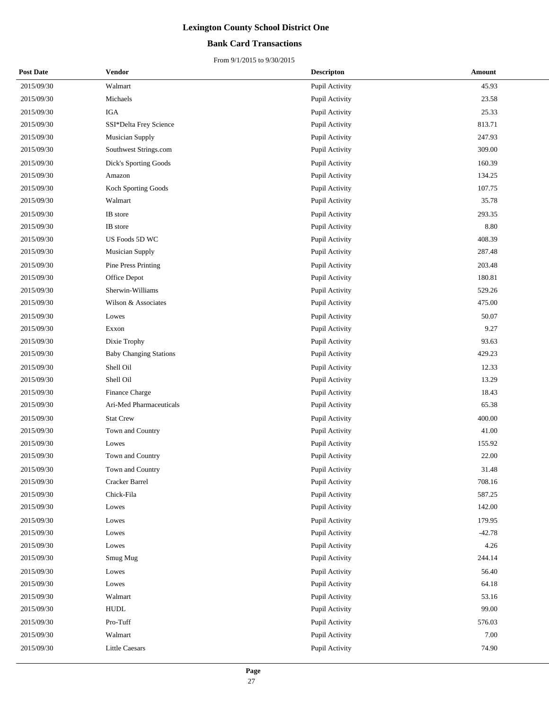### **Bank Card Transactions**

| <b>Post Date</b> | Vendor                        | <b>Descripton</b> | Amount   |
|------------------|-------------------------------|-------------------|----------|
| 2015/09/30       | Walmart                       | Pupil Activity    | 45.93    |
| 2015/09/30       | Michaels                      | Pupil Activity    | 23.58    |
| 2015/09/30       | <b>IGA</b>                    | Pupil Activity    | 25.33    |
| 2015/09/30       | SSI*Delta Frey Science        | Pupil Activity    | 813.71   |
| 2015/09/30       | <b>Musician Supply</b>        | Pupil Activity    | 247.93   |
| 2015/09/30       | Southwest Strings.com         | Pupil Activity    | 309.00   |
| 2015/09/30       | Dick's Sporting Goods         | Pupil Activity    | 160.39   |
| 2015/09/30       | Amazon                        | Pupil Activity    | 134.25   |
| 2015/09/30       | Koch Sporting Goods           | Pupil Activity    | 107.75   |
| 2015/09/30       | Walmart                       | Pupil Activity    | 35.78    |
| 2015/09/30       | IB store                      | Pupil Activity    | 293.35   |
| 2015/09/30       | IB store                      | Pupil Activity    | 8.80     |
| 2015/09/30       | US Foods 5D WC                | Pupil Activity    | 408.39   |
| 2015/09/30       | Musician Supply               | Pupil Activity    | 287.48   |
| 2015/09/30       | Pine Press Printing           | Pupil Activity    | 203.48   |
| 2015/09/30       | Office Depot                  | Pupil Activity    | 180.81   |
| 2015/09/30       | Sherwin-Williams              | Pupil Activity    | 529.26   |
| 2015/09/30       | Wilson & Associates           | Pupil Activity    | 475.00   |
| 2015/09/30       | Lowes                         | Pupil Activity    | 50.07    |
| 2015/09/30       | Exxon                         | Pupil Activity    | 9.27     |
| 2015/09/30       | Dixie Trophy                  | Pupil Activity    | 93.63    |
| 2015/09/30       | <b>Baby Changing Stations</b> | Pupil Activity    | 429.23   |
| 2015/09/30       | Shell Oil                     | Pupil Activity    | 12.33    |
| 2015/09/30       | Shell Oil                     | Pupil Activity    | 13.29    |
| 2015/09/30       | Finance Charge                | Pupil Activity    | 18.43    |
| 2015/09/30       | Ari-Med Pharmaceuticals       | Pupil Activity    | 65.38    |
| 2015/09/30       | <b>Stat Crew</b>              | Pupil Activity    | 400.00   |
| 2015/09/30       | Town and Country              | Pupil Activity    | 41.00    |
| 2015/09/30       | Lowes                         | Pupil Activity    | 155.92   |
| 2015/09/30       | Town and Country              | Pupil Activity    | 22.00    |
| 2015/09/30       | Town and Country              | Pupil Activity    | 31.48    |
| 2015/09/30       | Cracker Barrel                | Pupil Activity    | 708.16   |
| 2015/09/30       | Chick-Fila                    | Pupil Activity    | 587.25   |
| 2015/09/30       | Lowes                         | Pupil Activity    | 142.00   |
| 2015/09/30       | Lowes                         | Pupil Activity    | 179.95   |
| 2015/09/30       | Lowes                         | Pupil Activity    | $-42.78$ |
| 2015/09/30       | Lowes                         | Pupil Activity    | 4.26     |
| 2015/09/30       | Smug Mug                      | Pupil Activity    | 244.14   |
| 2015/09/30       | Lowes                         | Pupil Activity    | 56.40    |
| 2015/09/30       | Lowes                         | Pupil Activity    | 64.18    |
| 2015/09/30       | Walmart                       | Pupil Activity    | 53.16    |
| 2015/09/30       | ${\tt HUDL}$                  | Pupil Activity    | 99.00    |
| 2015/09/30       | Pro-Tuff                      | Pupil Activity    | 576.03   |
| 2015/09/30       | Walmart                       | Pupil Activity    | 7.00     |
| 2015/09/30       | <b>Little Caesars</b>         | Pupil Activity    | 74.90    |
|                  |                               |                   |          |